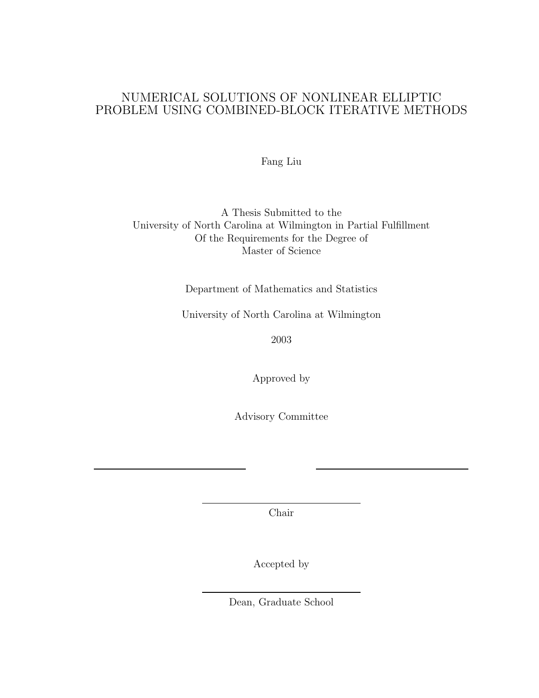# NUMERICAL SOLUTIONS OF NONLINEAR ELLIPTIC PROBLEM USING COMBINED-BLOCK ITERATIVE METHODS

Fang Liu

A Thesis Submitted to the University of North Carolina at Wilmington in Partial Fulfillment Of the Requirements for the Degree of Master of Science

Department of Mathematics and Statistics

University of North Carolina at Wilmington

2003

Approved by

Advisory Committee

Chair

Accepted by

Dean, Graduate School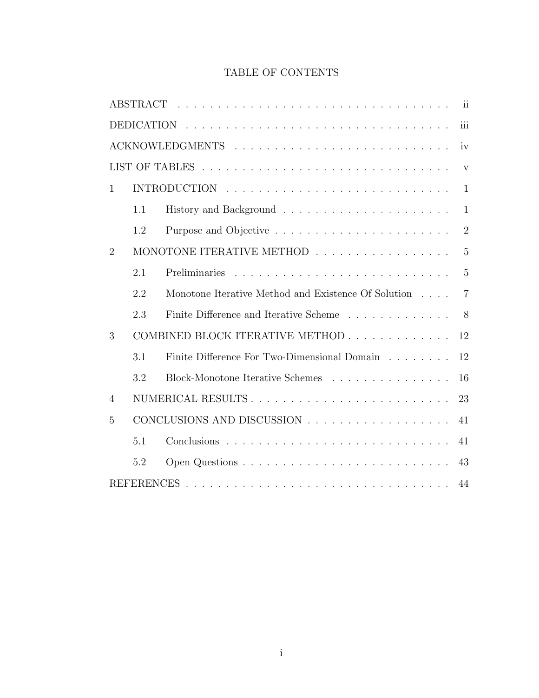# TABLE OF CONTENTS

|                |              |                                                     | ii                      |  |  |  |  |  |  |
|----------------|--------------|-----------------------------------------------------|-------------------------|--|--|--|--|--|--|
|                |              |                                                     | iii                     |  |  |  |  |  |  |
|                |              |                                                     | iv                      |  |  |  |  |  |  |
|                |              |                                                     | $\overline{\mathbf{V}}$ |  |  |  |  |  |  |
| 1              | $\mathbf{1}$ |                                                     |                         |  |  |  |  |  |  |
|                | 1.1          |                                                     | $\mathbf{1}$            |  |  |  |  |  |  |
|                | 1.2          |                                                     | $\overline{2}$          |  |  |  |  |  |  |
| $\overline{2}$ |              | MONOTONE ITERATIVE METHOD                           | $\overline{5}$          |  |  |  |  |  |  |
|                | 2.1          | Preliminaries                                       | $\overline{5}$          |  |  |  |  |  |  |
|                | 2.2          | Monotone Iterative Method and Existence Of Solution | $\overline{7}$          |  |  |  |  |  |  |
|                | 2.3          | Finite Difference and Iterative Scheme              | 8                       |  |  |  |  |  |  |
| 3              |              | COMBINED BLOCK ITERATIVE METHOD                     | 12                      |  |  |  |  |  |  |
|                | 3.1          | Finite Difference For Two-Dimensional Domain        | 12                      |  |  |  |  |  |  |
|                | 3.2          | Block-Monotone Iterative Schemes                    | 16                      |  |  |  |  |  |  |
| 4              |              | NUMERICAL RESULTS                                   | 23                      |  |  |  |  |  |  |
| 5              |              |                                                     | 41                      |  |  |  |  |  |  |
|                | 5.1          |                                                     | 41                      |  |  |  |  |  |  |
|                | 5.2          |                                                     | 43                      |  |  |  |  |  |  |
|                |              |                                                     | 44                      |  |  |  |  |  |  |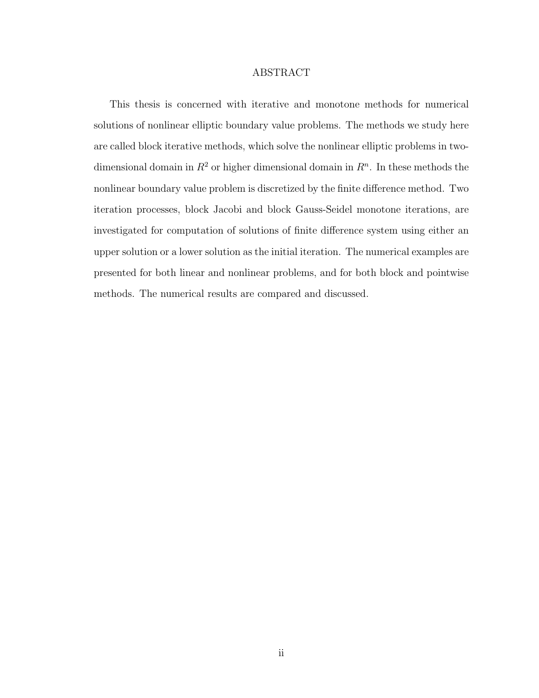## ABSTRACT

This thesis is concerned with iterative and monotone methods for numerical solutions of nonlinear elliptic boundary value problems. The methods we study here are called block iterative methods, which solve the nonlinear elliptic problems in twodimensional domain in  $R^2$  or higher dimensional domain in  $R^n$ . In these methods the nonlinear boundary value problem is discretized by the finite difference method. Two iteration processes, block Jacobi and block Gauss-Seidel monotone iterations, are investigated for computation of solutions of finite difference system using either an upper solution or a lower solution as the initial iteration. The numerical examples are presented for both linear and nonlinear problems, and for both block and pointwise methods. The numerical results are compared and discussed.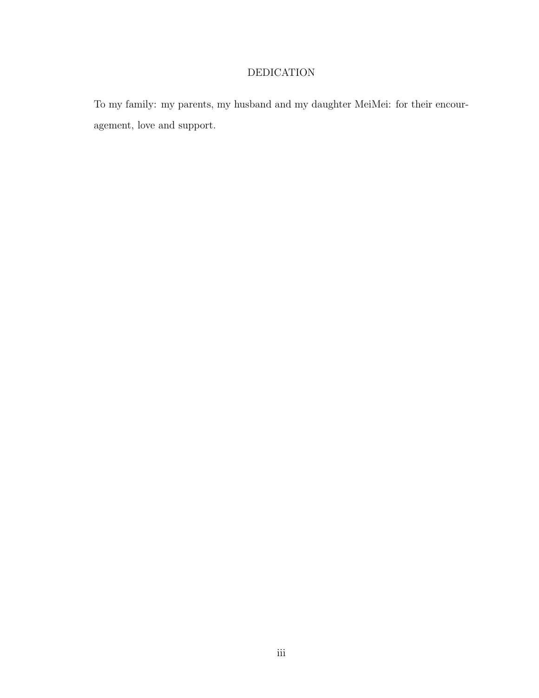# DEDICATION

To my family: my parents, my husband and my daughter MeiMei: for their encouragement, love and support.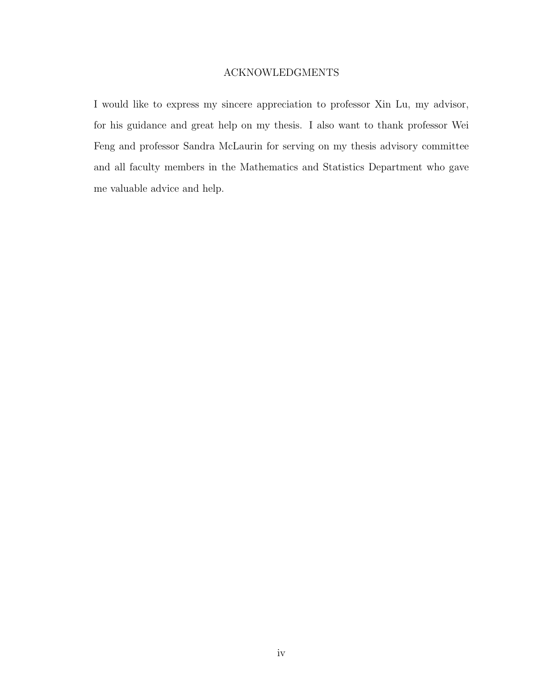# ACKNOWLEDGMENTS

I would like to express my sincere appreciation to professor Xin Lu, my advisor, for his guidance and great help on my thesis. I also want to thank professor Wei Feng and professor Sandra McLaurin for serving on my thesis advisory committee and all faculty members in the Mathematics and Statistics Department who gave me valuable advice and help.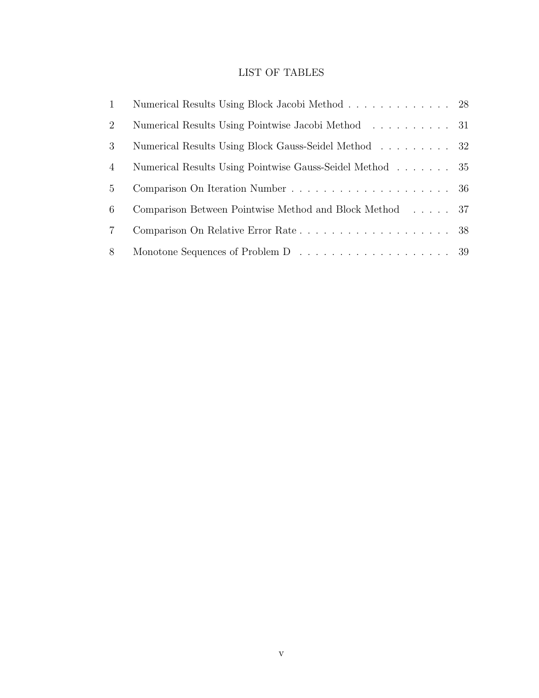# LIST OF TABLES

| $\mathbf{1}$   | Numerical Results Using Block Jacobi Method 28                                        |  |
|----------------|---------------------------------------------------------------------------------------|--|
| 2              | Numerical Results Using Pointwise Jacobi Method 31                                    |  |
| 3              | Numerical Results Using Block Gauss-Seidel Method 32                                  |  |
| $\overline{4}$ | Numerical Results Using Pointwise Gauss-Seidel Method 35                              |  |
| 5              |                                                                                       |  |
| 6              | Comparison Between Pointwise Method and Block Method 37                               |  |
| $\overline{7}$ |                                                                                       |  |
| 8              | Monotone Sequences of Problem D $\ldots \ldots \ldots \ldots \ldots \ldots \ldots 39$ |  |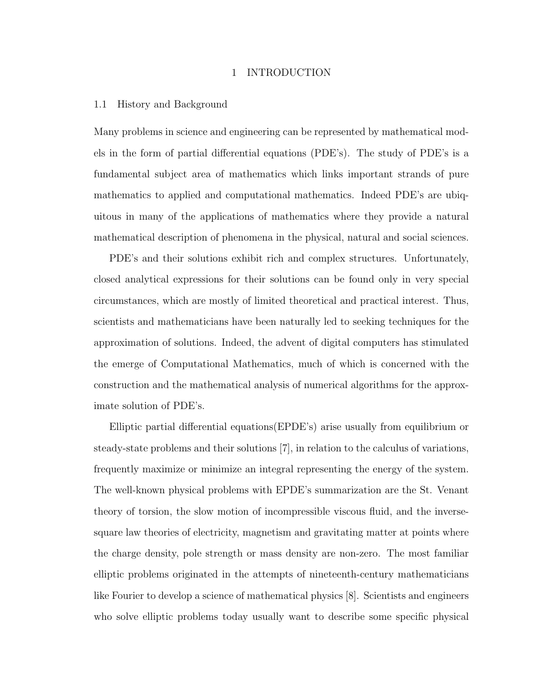## 1 INTRODUCTION

### 1.1 History and Background

Many problems in science and engineering can be represented by mathematical models in the form of partial differential equations (PDE's). The study of PDE's is a fundamental subject area of mathematics which links important strands of pure mathematics to applied and computational mathematics. Indeed PDE's are ubiquitous in many of the applications of mathematics where they provide a natural mathematical description of phenomena in the physical, natural and social sciences.

PDE's and their solutions exhibit rich and complex structures. Unfortunately, closed analytical expressions for their solutions can be found only in very special circumstances, which are mostly of limited theoretical and practical interest. Thus, scientists and mathematicians have been naturally led to seeking techniques for the approximation of solutions. Indeed, the advent of digital computers has stimulated the emerge of Computational Mathematics, much of which is concerned with the construction and the mathematical analysis of numerical algorithms for the approximate solution of PDE's.

Elliptic partial differential equations(EPDE's) arise usually from equilibrium or steady-state problems and their solutions [7], in relation to the calculus of variations, frequently maximize or minimize an integral representing the energy of the system. The well-known physical problems with EPDE's summarization are the St. Venant theory of torsion, the slow motion of incompressible viscous fluid, and the inversesquare law theories of electricity, magnetism and gravitating matter at points where the charge density, pole strength or mass density are non-zero. The most familiar elliptic problems originated in the attempts of nineteenth-century mathematicians like Fourier to develop a science of mathematical physics [8]. Scientists and engineers who solve elliptic problems today usually want to describe some specific physical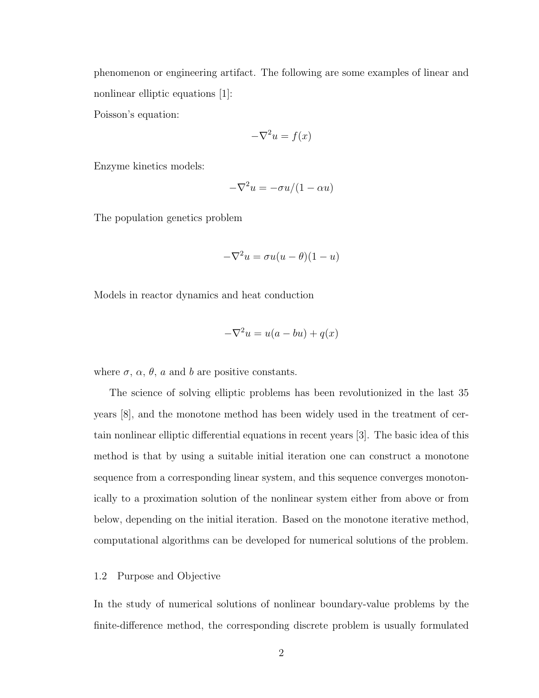phenomenon or engineering artifact. The following are some examples of linear and nonlinear elliptic equations [1]:

Poisson's equation:

$$
-\nabla^2 u = f(x)
$$

Enzyme kinetics models:

$$
-\nabla^2 u = -\sigma u/(1 - \alpha u)
$$

The population genetics problem

$$
-\nabla^2 u = \sigma u(u-\theta)(1-u)
$$

Models in reactor dynamics and heat conduction

$$
-\nabla^2 u = u(a - bu) + q(x)
$$

where  $\sigma$ ,  $\alpha$ ,  $\theta$ ,  $a$  and  $b$  are positive constants.

The science of solving elliptic problems has been revolutionized in the last 35 years [8], and the monotone method has been widely used in the treatment of certain nonlinear elliptic differential equations in recent years [3]. The basic idea of this method is that by using a suitable initial iteration one can construct a monotone sequence from a corresponding linear system, and this sequence converges monotonically to a proximation solution of the nonlinear system either from above or from below, depending on the initial iteration. Based on the monotone iterative method, computational algorithms can be developed for numerical solutions of the problem.

## 1.2 Purpose and Objective

In the study of numerical solutions of nonlinear boundary-value problems by the finite-difference method, the corresponding discrete problem is usually formulated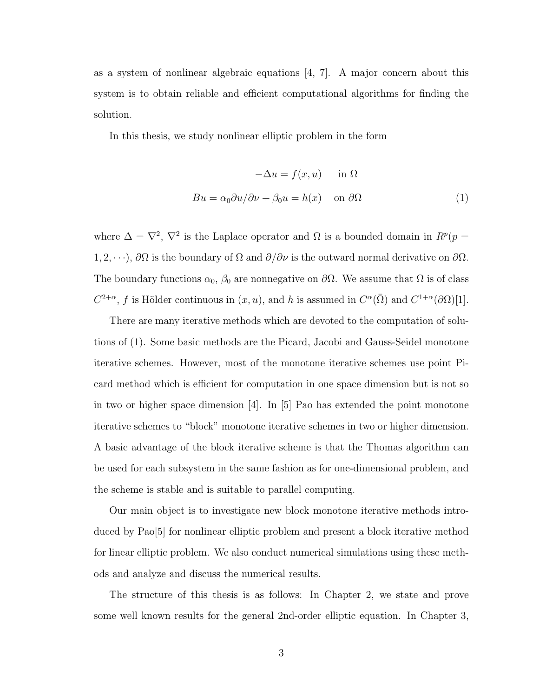as a system of nonlinear algebraic equations [4, 7]. A major concern about this system is to obtain reliable and efficient computational algorithms for finding the solution.

In this thesis, we study nonlinear elliptic problem in the form

$$
-\Delta u = f(x, u) \quad \text{in } \Omega
$$

$$
Bu = \alpha_0 \partial u / \partial \nu + \beta_0 u = h(x) \quad \text{on } \partial \Omega
$$
 (1)

where  $\Delta = \nabla^2$ ,  $\nabla^2$  is the Laplace operator and  $\Omega$  is a bounded domain in  $R^p(p =$ 1, 2, · · ·),  $\partial\Omega$  is the boundary of  $\Omega$  and  $\partial/\partial \nu$  is the outward normal derivative on  $\partial\Omega$ . The boundary functions  $\alpha_0$ ,  $\beta_0$  are nonnegative on  $\partial\Omega$ . We assume that  $\Omega$  is of class  $C^{2+\alpha}$ , f is Hölder continuous in  $(x, u)$ , and h is assumed in  $C^{\alpha}(\overline{\Omega})$  and  $C^{1+\alpha}(\partial \Omega)[1]$ .

There are many iterative methods which are devoted to the computation of solutions of (1). Some basic methods are the Picard, Jacobi and Gauss-Seidel monotone iterative schemes. However, most of the monotone iterative schemes use point Picard method which is efficient for computation in one space dimension but is not so in two or higher space dimension  $|4|$ . In  $|5|$  Pao has extended the point monotone iterative schemes to "block" monotone iterative schemes in two or higher dimension. A basic advantage of the block iterative scheme is that the Thomas algorithm can be used for each subsystem in the same fashion as for one-dimensional problem, and the scheme is stable and is suitable to parallel computing.

Our main object is to investigate new block monotone iterative methods introduced by Pao[5] for nonlinear elliptic problem and present a block iterative method for linear elliptic problem. We also conduct numerical simulations using these methods and analyze and discuss the numerical results.

The structure of this thesis is as follows: In Chapter 2, we state and prove some well known results for the general 2nd-order elliptic equation. In Chapter 3,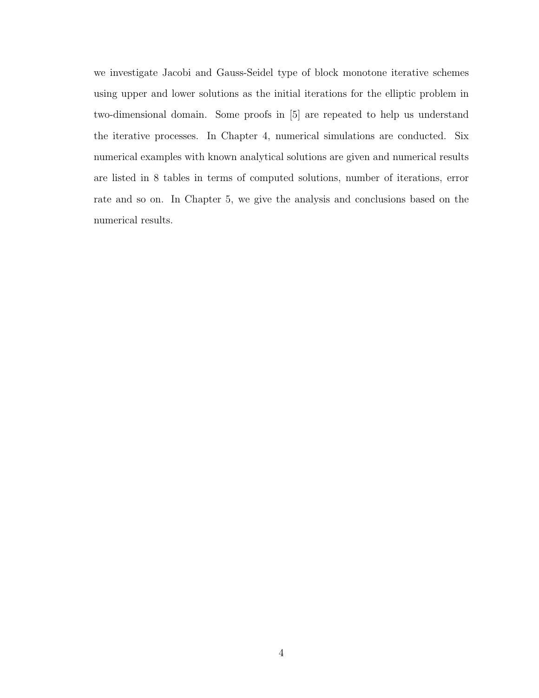we investigate Jacobi and Gauss-Seidel type of block monotone iterative schemes using upper and lower solutions as the initial iterations for the elliptic problem in two-dimensional domain. Some proofs in [5] are repeated to help us understand the iterative processes. In Chapter 4, numerical simulations are conducted. Six numerical examples with known analytical solutions are given and numerical results are listed in 8 tables in terms of computed solutions, number of iterations, error rate and so on. In Chapter 5, we give the analysis and conclusions based on the numerical results.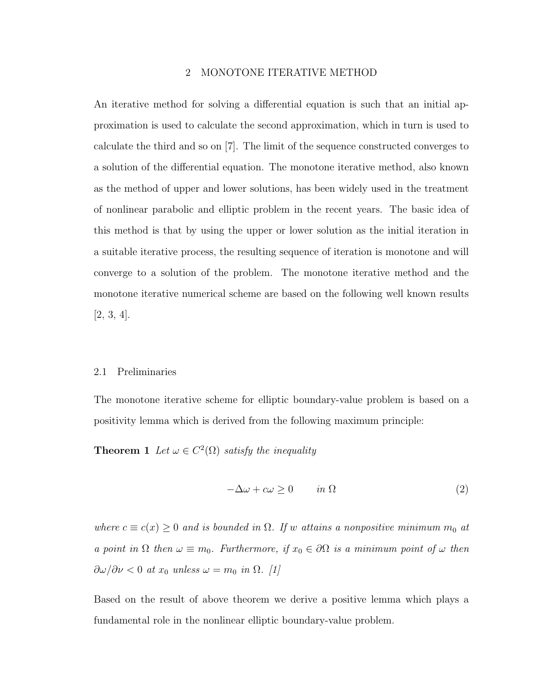# 2 MONOTONE ITERATIVE METHOD

An iterative method for solving a differential equation is such that an initial approximation is used to calculate the second approximation, which in turn is used to calculate the third and so on [7]. The limit of the sequence constructed converges to a solution of the differential equation. The monotone iterative method, also known as the method of upper and lower solutions, has been widely used in the treatment of nonlinear parabolic and elliptic problem in the recent years. The basic idea of this method is that by using the upper or lower solution as the initial iteration in a suitable iterative process, the resulting sequence of iteration is monotone and will converge to a solution of the problem. The monotone iterative method and the monotone iterative numerical scheme are based on the following well known results [2, 3, 4].

#### 2.1 Preliminaries

The monotone iterative scheme for elliptic boundary-value problem is based on a positivity lemma which is derived from the following maximum principle:

**Theorem 1** Let  $\omega \in C^2(\Omega)$  satisfy the inequality

$$
-\Delta\omega + c\omega \ge 0 \qquad in \ \Omega \tag{2}
$$

where  $c \equiv c(x) \geq 0$  and is bounded in  $\Omega$ . If w attains a nonpositive minimum  $m_0$  at a point in  $\Omega$  then  $\omega \equiv m_0$ . Furthermore, if  $x_0 \in \partial \Omega$  is a minimum point of  $\omega$  then  $\frac{\partial \omega}{\partial \nu} < 0$  at  $x_0$  unless  $\omega = m_0$  in  $\Omega$ . [1]

Based on the result of above theorem we derive a positive lemma which plays a fundamental role in the nonlinear elliptic boundary-value problem.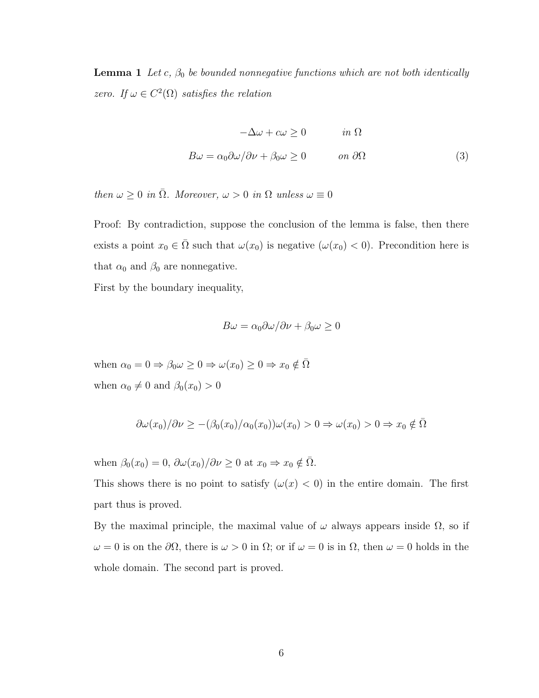**Lemma 1** Let c,  $\beta_0$  be bounded nonnegative functions which are not both identically zero. If  $\omega \in C^2(\Omega)$  satisfies the relation

$$
-\Delta\omega + c\omega \ge 0 \qquad in \ \Omega
$$
  

$$
B\omega = \alpha_0 \partial\omega/\partial\nu + \beta_0 \omega \ge 0 \qquad on \ \partial\Omega
$$
 (3)

then  $\omega \geq 0$  in  $\overline{\Omega}$ . Moreover,  $\omega > 0$  in  $\Omega$  unless  $\omega \equiv 0$ 

Proof: By contradiction, suppose the conclusion of the lemma is false, then there exists a point  $x_0 \in \overline{\Omega}$  such that  $\omega(x_0)$  is negative  $(\omega(x_0) < 0)$ . Precondition here is that  $\alpha_0$  and  $\beta_0$  are nonnegative.

First by the boundary inequality,

$$
B\omega = \alpha_0 \partial \omega / \partial \nu + \beta_0 \omega \ge 0
$$

when  $\alpha_0 = 0 \Rightarrow \beta_0 \omega \ge 0 \Rightarrow \omega(x_0) \ge 0 \Rightarrow x_0 \notin \overline{\Omega}$ when  $\alpha_0 \neq 0$  and  $\beta_0(x_0) > 0$ 

$$
\frac{\partial \omega(x_0)}{\partial \nu} \geq -\frac{\beta_0(x_0)}{\alpha_0(x_0)} \quad \text{and} \quad x_0 > 0 \Rightarrow \omega(x_0) > 0 \Rightarrow x_0 \notin \overline{\Omega}
$$

when  $\beta_0(x_0) = 0$ ,  $\frac{\partial \omega(x_0)}{\partial \nu} \ge 0$  at  $x_0 \Rightarrow x_0 \notin \overline{\Omega}$ .

This shows there is no point to satisfy  $(\omega(x) < 0)$  in the entire domain. The first part thus is proved.

By the maximal principle, the maximal value of  $\omega$  always appears inside  $\Omega$ , so if  $ω = 0$  is on the  $\partial\Omega$ , there is  $ω > 0$  in  $\Omega$ ; or if  $ω = 0$  is in  $\Omega$ , then  $ω = 0$  holds in the whole domain. The second part is proved.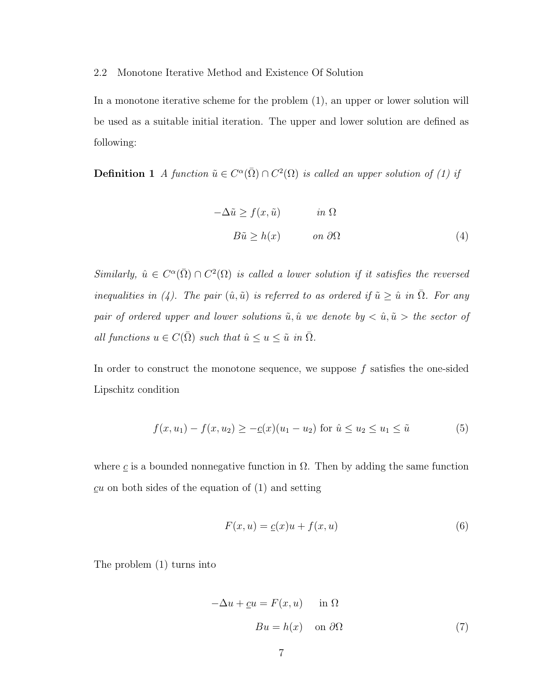# 2.2 Monotone Iterative Method and Existence Of Solution

In a monotone iterative scheme for the problem (1), an upper or lower solution will be used as a suitable initial iteration. The upper and lower solution are defined as following:

**Definition 1** A function  $\tilde{u} \in C^{\alpha}(\overline{\Omega}) \cap C^2(\Omega)$  is called an upper solution of (1) if

$$
-\Delta \tilde{u} \ge f(x, \tilde{u}) \qquad in \Omega
$$
  

$$
B\tilde{u} \ge h(x) \qquad on \partial \Omega
$$
 (4)

Similarly,  $\hat{u} \in C^{\alpha}(\overline{\Omega}) \cap C^2(\Omega)$  is called a lower solution if it satisfies the reversed inequalities in (4). The pair  $(\hat{u}, \tilde{u})$  is referred to as ordered if  $\tilde{u} \geq \hat{u}$  in  $\overline{\Omega}$ . For any pair of ordered upper and lower solutions  $\tilde{u}, \hat{u}$  we denote by  $\langle \hat{u}, \tilde{u} \rangle$  the sector of all functions  $u \in C(\overline{\Omega})$  such that  $\hat{u} \le u \le \tilde{u}$  in  $\overline{\Omega}$ .

In order to construct the monotone sequence, we suppose  $f$  satisfies the one-sided Lipschitz condition

$$
f(x, u_1) - f(x, u_2) \ge -\underline{c}(x)(u_1 - u_2) \text{ for } \hat{u} \le u_2 \le u_1 \le \tilde{u}
$$
 (5)

where  $\mathfrak c$  is a bounded nonnegative function in  $\Omega$ . Then by adding the same function  $cu$  on both sides of the equation of  $(1)$  and setting

$$
F(x, u) = \underline{c}(x)u + f(x, u)
$$
\n<sup>(6)</sup>

The problem (1) turns into

$$
-\Delta u + \underline{c}u = F(x, u) \quad \text{in } \Omega
$$

$$
Bu = h(x) \quad \text{on } \partial\Omega \tag{7}
$$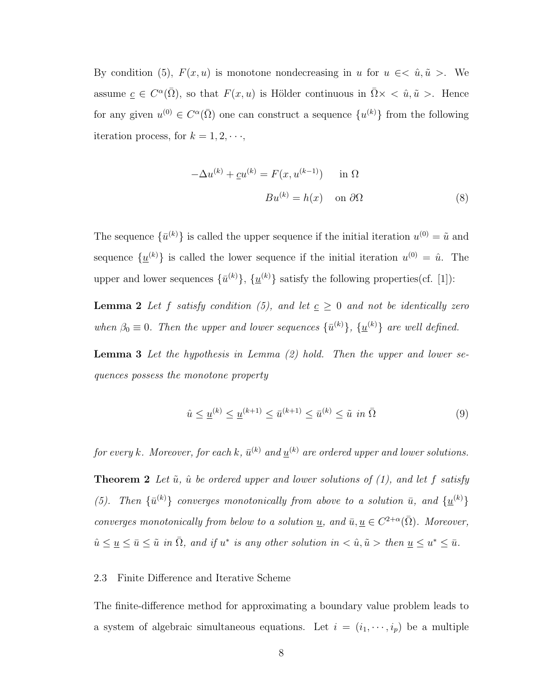By condition (5),  $F(x, u)$  is monotone nondecreasing in u for  $u \in \langle \hat{u}, \tilde{u} \rangle$ . We assume  $c \in C^{\alpha}(\overline{\Omega})$ , so that  $F(x, u)$  is Hölder continuous in  $\overline{\Omega} \times \langle \hat{u}, \tilde{u} \rangle$ . Hence for any given  $u^{(0)} \in C^{\alpha}(\overline{\Omega})$  one can construct a sequence  $\{u^{(k)}\}$  from the following iteration process, for  $k = 1, 2, \dots$ ,

$$
-\Delta u^{(k)} + \underline{c}u^{(k)} = F(x, u^{(k-1)}) \quad \text{in } \Omega
$$

$$
Bu^{(k)} = h(x) \quad \text{on } \partial\Omega \tag{8}
$$

The sequence  $\{\bar{u}^{(k)}\}$  is called the upper sequence if the initial iteration  $u^{(0)} = \tilde{u}$  and sequence  $\{\underline{u}^{(k)}\}$  is called the lower sequence if the initial iteration  $u^{(0)} = \hat{u}$ . The upper and lower sequences  $\{\bar{u}^{(k)}\}, \{\underline{u}^{(k)}\}$  satisfy the following properties(cf. [1]):

**Lemma 2** Let f satisfy condition (5), and let  $c \geq 0$  and not be identically zero when  $\beta_0 \equiv 0$ . Then the upper and lower sequences  $\{\bar{u}^{(k)}\}$ ,  $\{\underline{u}^{(k)}\}$  are well defined.

**Lemma 3** Let the hypothesis in Lemma  $(2)$  hold. Then the upper and lower sequences possess the monotone property

$$
\hat{u} \le \underline{u}^{(k)} \le \underline{u}^{(k+1)} \le \bar{u}^{(k+1)} \le \bar{u}^{(k)} \le \tilde{u} \text{ in } \bar{\Omega}
$$
\n
$$
(9)
$$

for every k. Moreover, for each k,  $\bar{u}^{(k)}$  and  $\underline{u}^{(k)}$  are ordered upper and lower solutions.

**Theorem 2** Let  $\tilde{u}$ ,  $\hat{u}$  be ordered upper and lower solutions of (1), and let f satisfy (5). Then  $\{\bar{u}^{(k)}\}$  converges monotonically from above to a solution  $\bar{u}$ , and  $\{\underline{u}^{(k)}\}$ converges monotonically from below to a solution  $\underline{u}$ , and  $\overline{u}$ ,  $\underline{u} \in C^{2+\alpha}(\overline{\Omega})$ . Moreover,  $\hat{u} \leq \underline{u} \leq \overline{u} \leq \tilde{u} \text{ in } \overline{\Omega}, \text{ and if } u^* \text{ is any other solution in } < \hat{u}, \tilde{u} > \text{ then } \underline{u} \leq u^* \leq \overline{u}.$ 

## 2.3 Finite Difference and Iterative Scheme

The finite-difference method for approximating a boundary value problem leads to a system of algebraic simultaneous equations. Let  $i = (i_1, \dots, i_p)$  be a multiple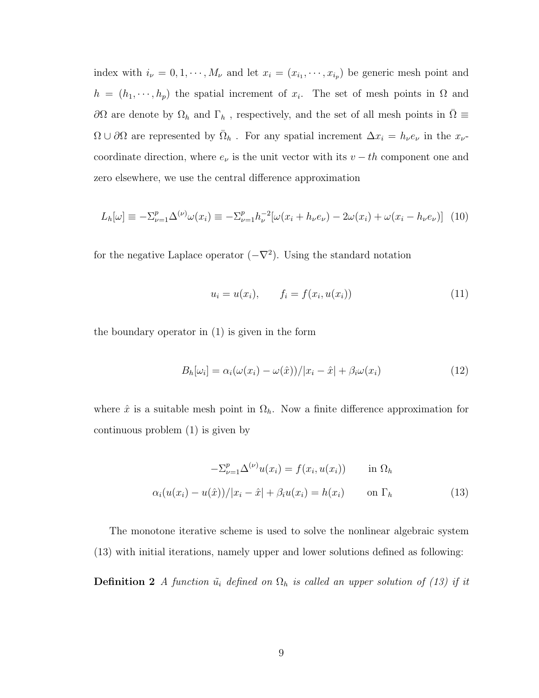index with  $i_{\nu} = 0, 1, \dots, M_{\nu}$  and let  $x_i = (x_{i_1}, \dots, x_{i_p})$  be generic mesh point and  $h = (h_1, \dots, h_p)$  the spatial increment of  $x_i$ . The set of mesh points in  $\Omega$  and ∂Ω are denote by  $\Omega_h$  and  $\Gamma_h$ , respectively, and the set of all mesh points in  $\Omega \equiv$  $\Omega \cup \partial\Omega$  are represented by  $\overline{\Omega}_h$ . For any spatial increment  $\Delta x_i = h_\nu e_\nu$  in the  $x_\nu$ coordinate direction, where  $e_{\nu}$  is the unit vector with its  $v - th$  component one and zero elsewhere, we use the central difference approximation

$$
L_h[\omega] \equiv -\Sigma_{\nu=1}^p \Delta^{(\nu)} \omega(x_i) \equiv -\Sigma_{\nu=1}^p h_\nu^{-2} [\omega(x_i + h_\nu e_\nu) - 2\omega(x_i) + \omega(x_i - h_\nu e_\nu)] \tag{10}
$$

for the negative Laplace operator  $(-\nabla^2)$ . Using the standard notation

$$
u_i = u(x_i), \t f_i = f(x_i, u(x_i)) \t (11)
$$

the boundary operator in (1) is given in the form

$$
B_h[\omega_i] = \alpha_i(\omega(x_i) - \omega(\hat{x}))/|x_i - \hat{x}| + \beta_i \omega(x_i)
$$
\n(12)

where  $\hat{x}$  is a suitable mesh point in  $\Omega_h$ . Now a finite difference approximation for continuous problem (1) is given by

$$
-\Sigma_{\nu=1}^{p} \Delta^{(\nu)} u(x_i) = f(x_i, u(x_i)) \quad \text{in } \Omega_h
$$
  

$$
\alpha_i (u(x_i) - u(\hat{x}))/|x_i - \hat{x}| + \beta_i u(x_i) = h(x_i) \quad \text{on } \Gamma_h
$$
 (13)

The monotone iterative scheme is used to solve the nonlinear algebraic system (13) with initial iterations, namely upper and lower solutions defined as following:

**Definition 2** A function  $\tilde{u}_i$  defined on  $\Omega_h$  is called an upper solution of (13) if it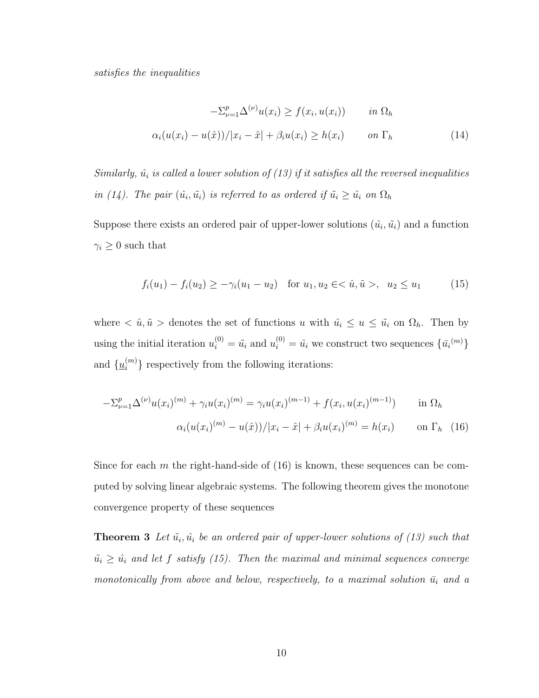satisfies the inequalities

$$
-\Sigma_{\nu=1}^{p} \Delta^{(\nu)} u(x_i) \ge f(x_i, u(x_i)) \qquad in \ \Omega_h
$$
  

$$
\alpha_i (u(x_i) - u(\hat{x}))/|x_i - \hat{x}| + \beta_i u(x_i) \ge h(x_i) \qquad on \ \Gamma_h
$$
 (14)

Similarly,  $\hat{u}_i$  is called a lower solution of (13) if it satisfies all the reversed inequalities in (14). The pair  $(\hat{u_i}, \tilde{u_i})$  is referred to as ordered if  $\tilde{u_i} \geq \hat{u_i}$  on  $\Omega_h$ 

Suppose there exists an ordered pair of upper-lower solutions  $(\hat{u_i}, \tilde{u_i})$  and a function  $\gamma_i \geq 0$  such that

$$
f_i(u_1) - f_i(u_2) \ge -\gamma_i(u_1 - u_2) \quad \text{for } u_1, u_2 \in <\hat{u}, \tilde{u}>, \ u_2 \le u_1 \tag{15}
$$

where  $\langle \hat{u}, \tilde{u} \rangle$  denotes the set of functions u with  $\hat{u_i} \leq u \leq \tilde{u_i}$  on  $\Omega_h$ . Then by using the initial iteration  $u_i^{(0)} = \tilde{u}_i$  and  $u_i^{(0)} = \hat{u}_i$  we construct two sequences  $\{\bar{u}_i^{(m)}\}$ and  $\{\underline{u}_i^{(m)}\}$  respectively from the following iterations:

$$
-\Sigma_{\nu=1}^{p} \Delta^{(\nu)} u(x_i)^{(m)} + \gamma_i u(x_i)^{(m)} = \gamma_i u(x_i)^{(m-1)} + f(x_i, u(x_i)^{(m-1)}) \quad \text{in } \Omega_h
$$

$$
\alpha_i (u(x_i)^{(m)} - u(\hat{x})) / |x_i - \hat{x}| + \beta_i u(x_i)^{(m)} = h(x_i) \quad \text{on } \Gamma_h \quad (16)
$$

Since for each  $m$  the right-hand-side of  $(16)$  is known, these sequences can be computed by solving linear algebraic systems. The following theorem gives the monotone convergence property of these sequences

**Theorem 3** Let  $\tilde{u_i}$ ,  $\hat{u_i}$  be an ordered pair of upper-lower solutions of (13) such that  $\tilde{u}_i \geq \hat{u}_i$  and let f satisfy (15). Then the maximal and minimal sequences converge monotonically from above and below, respectively, to a maximal solution  $\bar{u}_i$  and a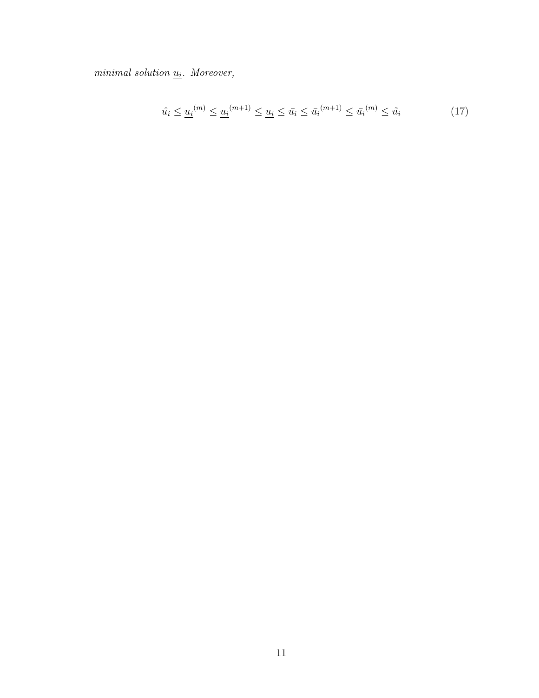$minimal$  solution  $u_i$ . Moreover,

$$
\hat{u}_i \le \underline{u}_i^{(m)} \le \underline{u}_i^{(m+1)} \le \underline{u}_i \le \bar{u}_i \le \bar{u}_i^{(m+1)} \le \bar{u}_i^{(m)} \le \tilde{u}_i \tag{17}
$$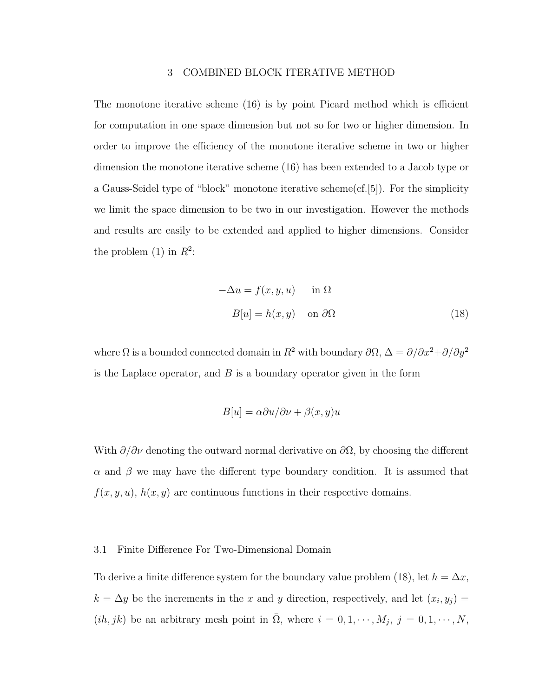## 3 COMBINED BLOCK ITERATIVE METHOD

The monotone iterative scheme (16) is by point Picard method which is efficient for computation in one space dimension but not so for two or higher dimension. In order to improve the efficiency of the monotone iterative scheme in two or higher dimension the monotone iterative scheme (16) has been extended to a Jacob type or a Gauss-Seidel type of "block" monotone iterative scheme(cf.[5]). For the simplicity we limit the space dimension to be two in our investigation. However the methods and results are easily to be extended and applied to higher dimensions. Consider the problem (1) in  $R^2$ :

$$
-\Delta u = f(x, y, u) \quad \text{in } \Omega
$$

$$
B[u] = h(x, y) \quad \text{on } \partial\Omega \tag{18}
$$

where  $\Omega$  is a bounded connected domain in  $R^2$  with boundary  $\partial\Omega$ ,  $\Delta = \partial/\partial x^2 + \partial/\partial y^2$ is the Laplace operator, and  $B$  is a boundary operator given in the form

$$
B[u] = \alpha \partial u / \partial \nu + \beta(x, y)u
$$

With  $\partial/\partial \nu$  denoting the outward normal derivative on  $\partial\Omega$ , by choosing the different  $\alpha$  and  $\beta$  we may have the different type boundary condition. It is assumed that  $f(x, y, u)$ ,  $h(x, y)$  are continuous functions in their respective domains.

#### 3.1 Finite Difference For Two-Dimensional Domain

To derive a finite difference system for the boundary value problem (18), let  $h = \Delta x$ ,  $k = \Delta y$  be the increments in the x and y direction, respectively, and let  $(x_i, y_j) =$  $(ih, jk)$  be an arbitrary mesh point in  $\overline{\Omega}$ , where  $i = 0, 1, \dots, M_j$ ,  $j = 0, 1, \dots, N$ ,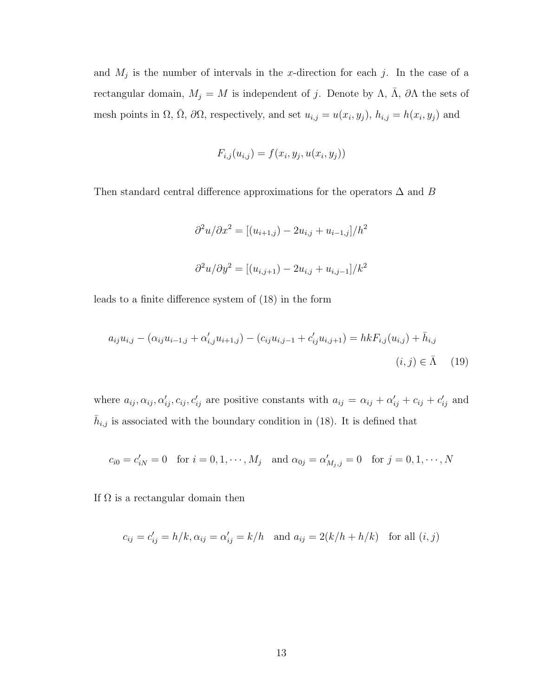and  $M_j$  is the number of intervals in the x-direction for each j. In the case of a rectangular domain,  $M_j = M$  is independent of j. Denote by  $\Lambda$ ,  $\overline{\Lambda}$ ,  $\partial \Lambda$  the sets of mesh points in  $\Omega$ ,  $\overline{\Omega}$ ,  $\partial\Omega$ , respectively, and set  $u_{i,j} = u(x_i, y_j)$ ,  $h_{i,j} = h(x_i, y_j)$  and

$$
F_{i,j}(u_{i,j}) = f(x_i, y_j, u(x_i, y_j))
$$

Then standard central difference approximations for the operators  $\Delta$  and B

$$
\partial^2 u / \partial x^2 = [(u_{i+1,j}) - 2u_{i,j} + u_{i-1,j}] / h^2
$$
  

$$
\partial^2 u / \partial y^2 = [(u_{i,j+1}) - 2u_{i,j} + u_{i,j-1}] / k^2
$$

leads to a finite difference system of (18) in the form

$$
a_{ij}u_{i,j} - (\alpha_{ij}u_{i-1,j} + \alpha'_{i,j}u_{i+1,j}) - (c_{ij}u_{i,j-1} + c'_{ij}u_{i,j+1}) = hkF_{i,j}(u_{i,j}) + \bar{h}_{i,j}
$$
  
 $(i,j) \in \bar{\Lambda}$  (19)

where  $a_{ij}, \alpha_{ij}, \alpha'_{ij}, c_{ij}, c'_{ij}$  are positive constants with  $a_{ij} = \alpha_{ij} + \alpha'_{ij} + c_{ij} + c'_{ij}$  and  $\bar{h}_{i,j}$  is associated with the boundary condition in (18). It is defined that

$$
c_{i0} = c'_{iN} = 0
$$
 for  $i = 0, 1, \dots, M_j$  and  $\alpha_{0j} = \alpha'_{M_j, j} = 0$  for  $j = 0, 1, \dots, N$ 

If  $\Omega$  is a rectangular domain then

$$
c_{ij} = c'_{ij} = h/k, \alpha_{ij} = \alpha'_{ij} = k/h
$$
 and  $a_{ij} = 2(k/h + h/k)$  for all  $(i, j)$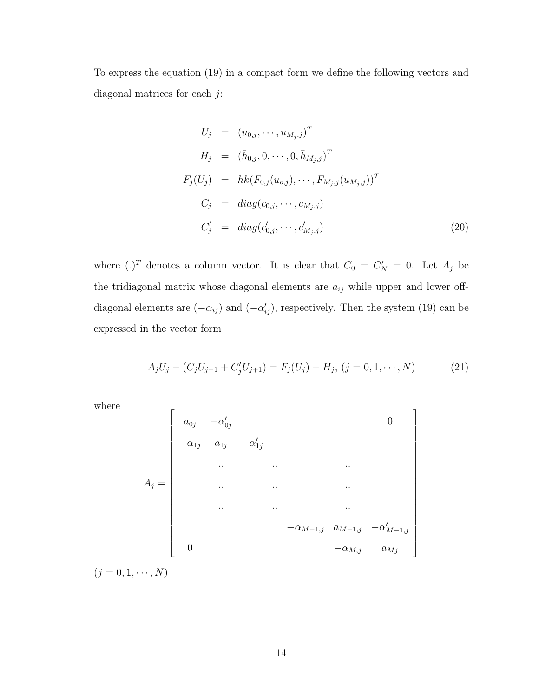To express the equation (19) in a compact form we define the following vectors and diagonal matrices for each  $j$ :

$$
U_j = (u_{0,j}, \dots, u_{M_j,j})^T
$$
  
\n
$$
H_j = (\bar{h}_{0,j}, 0, \dots, 0, \bar{h}_{M_j,j})^T
$$
  
\n
$$
F_j(U_j) = hk(F_{0,j}(u_{0,j}), \dots, F_{M_j,j}(u_{M_j,j}))^T
$$
  
\n
$$
C_j = diag(c_{0,j}, \dots, c_{M_j,j})
$$
  
\n
$$
C'_j = diag(c'_{0,j}, \dots, c'_{M_j,j})
$$
\n(20)

where  $(.)^T$  denotes a column vector. It is clear that  $C_0 = C'_N = 0$ . Let  $A_j$  be the tridiagonal matrix whose diagonal elements are  $a_{ij}$  while upper and lower offdiagonal elements are  $(-\alpha_{ij})$  and  $(-\alpha'_{ij})$ , respectively. Then the system (19) can be expressed in the vector form

$$
A_j U_j - (C_j U_{j-1} + C'_j U_{j+1}) = F_j(U_j) + H_j, (j = 0, 1, \dots, N)
$$
 (21)

where

$$
A_{j} = \begin{bmatrix} a_{0j} & -\alpha'_{0j} & & & & 0 \\ -\alpha_{1j} & a_{1j} & -\alpha'_{1j} & & & & \\ & \ddots & \ddots & \ddots & \ddots & & \\ & & \ddots & \ddots & \ddots & & \\ & & & \ddots & \ddots & \ddots & \\ & & & & -\alpha_{M-1,j} & a_{M-1,j} & -\alpha'_{M-1,j} \\ & & & & & -\alpha_{M,j} & a_{Mj} \end{bmatrix}
$$

 $(j = 0, 1, \cdots, N)$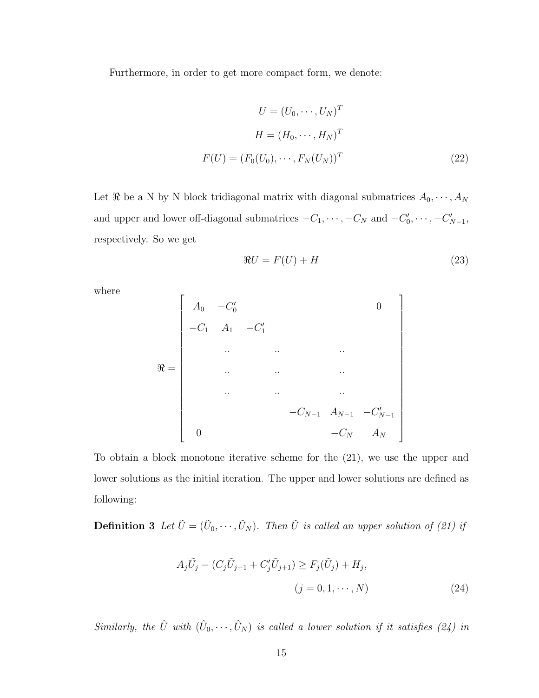Furthermore, in order to get more compact form, we denote:

$$
U = (U_0, \cdots, U_N)^T
$$

$$
H = (H_0, \cdots, H_N)^T
$$

$$
F(U) = (F_0(U_0), \cdots, F_N(U_N))^T
$$
(22)

Let  $\Re$  be a N by N block tridiagonal matrix with diagonal submatrices  $A_0, \dots, A_N$ and upper and lower off-diagonal submatrices  $-C_1, \dots, -C_N$  and  $-C'_0, \dots, -C'_{N-1}$ , respectively. So we get

$$
\Re U = F(U) + H \tag{23}
$$

 $\overline{a}$  $\mathbf{I}$  $\mathbf{I}$  $\perp$  $\mathbf{I}$  $\overline{1}$  $\overline{1}$  $\overline{1}$  $\overline{1}$  $\overline{1}$  $\overline{1}$  $\overline{1}$  $\overline{1}$  $\overline{1}$  $\overline{1}$  $\overline{1}$  $\overline{1}$  $\overline{1}$  $\overline{1}$  $\overline{1}$  $\perp$  $\mathbf{I}$  $\overline{1}$  $\overline{1}$ 

where

$$
\mathfrak{R} = \begin{bmatrix}\nA_0 & -C'_0 & & & & & 0 \\
-C_1 & A_1 & -C'_1 & & & & & \\
& \ddots & \ddots & \ddots & \ddots & & \\
& & \ddots & \ddots & \ddots & & \\
& & & \ddots & \ddots & \ddots & \\
& & & & & -C_{N-1} & A_{N-1} & -C'_{N-1} \\
& & & & & & -C_N & A_N\n\end{bmatrix}
$$

To obtain a block monotone iterative scheme for the (21), we use the upper and lower solutions as the initial iteration. The upper and lower solutions are defined as following:

**Definition 3** Let  $\tilde{U} = (\tilde{U}_0, \dots, \tilde{U}_N)$ . Then  $\tilde{U}$  is called an upper solution of (21) if

$$
A_j \tilde{U}_j - (C_j \tilde{U}_{j-1} + C'_j \tilde{U}_{j+1}) \ge F_j(\tilde{U}_j) + H_j,
$$
  

$$
(j = 0, 1, \dots, N)
$$
 (24)

Similarly, the  $\hat{U}$  with  $(\hat{U}_0, \dots, \hat{U}_N)$  is called a lower solution if it satisfies (24) in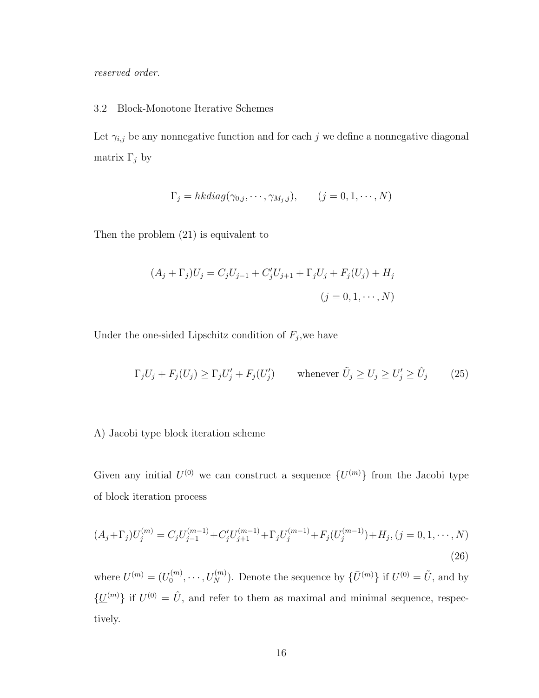reserved order.

### 3.2 Block-Monotone Iterative Schemes

Let  $\gamma_{i,j}$  be any nonnegative function and for each j we define a nonnegative diagonal matrix  $\Gamma_j$  by

$$
\Gamma_j = h k \operatorname{diag}(\gamma_{0,j}, \cdots, \gamma_{M_j,j}), \qquad (j = 0, 1, \cdots, N)
$$

Then the problem (21) is equivalent to

$$
(A_j + \Gamma_j)U_j = C_j U_{j-1} + C'_j U_{j+1} + \Gamma_j U_j + F_j (U_j) + H_j
$$
  
(j = 0, 1, ..., N)

Under the one-sided Lipschitz condition of  $F_j$ , we have

$$
\Gamma_j U_j + F_j(U_j) \ge \Gamma_j U'_j + F_j(U'_j) \qquad \text{whenever } \tilde{U}_j \ge U_j \ge U'_j \ge \hat{U}_j \qquad (25)
$$

# A) Jacobi type block iteration scheme

Given any initial  $U^{(0)}$  we can construct a sequence  $\{U^{(m)}\}$  from the Jacobi type of block iteration process

$$
(A_j + \Gamma_j)U_j^{(m)} = C_j U_{j-1}^{(m-1)} + C_j' U_{j+1}^{(m-1)} + \Gamma_j U_j^{(m-1)} + F_j (U_j^{(m-1)}) + H_j, (j = 0, 1, \dots, N)
$$
\n(26)

where  $U^{(m)} = (U_0^{(m)}$  $U_0^{(m)}, \dots, U_N^{(m)}$ ). Denote the sequence by  $\{\bar{U}^{(m)}\}$  if  $U^{(0)} = \tilde{U}$ , and by  $\{\underline{U}^{(m)}\}\$ if  $U^{(0)} = \hat{U}$ , and refer to them as maximal and minimal sequence, respectively.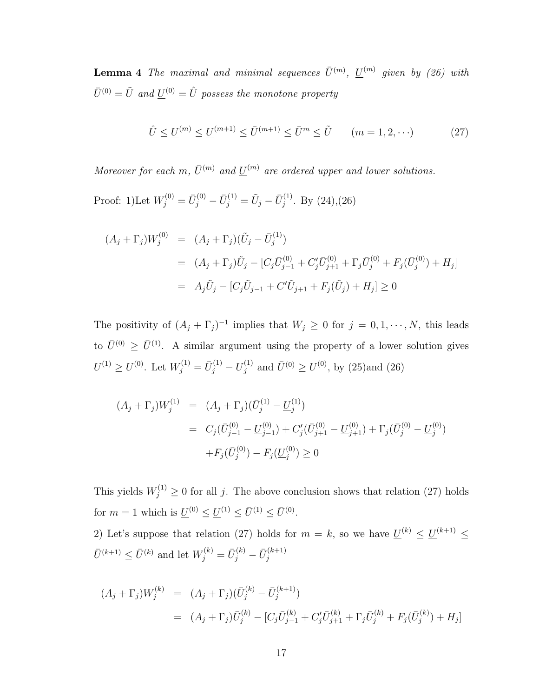**Lemma 4** The maximal and minimal sequences  $\bar{U}^{(m)}$ ,  $\underline{U}^{(m)}$  given by (26) with  $\bar{U}^{(0)} = \tilde{U}$  and  $\underline{U}^{(0)} = \hat{U}$  possess the monotone property

$$
\hat{U} \le \underline{U}^{(m)} \le \underline{U}^{(m+1)} \le \bar{U}^{(m+1)} \le \bar{U}^m \le \tilde{U} \qquad (m = 1, 2, \cdots) \tag{27}
$$

Moreover for each m,  $\bar{U}^{(m)}$  and  $\underline{U}^{(m)}$  are ordered upper and lower solutions.

Proof: 1)Let  $W_j^{(0)} = \bar{U}_j^{(0)} - \bar{U}_j^{(1)} = \tilde{U}_j - \bar{U}_j^{(1)}$  $j^{(1)}$ . By  $(24),(26)$ 

$$
(A_j + \Gamma_j)W_j^{(0)} = (A_j + \Gamma_j)(\tilde{U}_j - \bar{U}_j^{(1)})
$$
  
= 
$$
(A_j + \Gamma_j)\tilde{U}_j - [C_j\bar{U}_{j-1}^{(0)} + C_j'\bar{U}_{j+1}^{(0)} + \Gamma_j\bar{U}_j^{(0)} + F_j(\bar{U}_j^{(0)}) + H_j]
$$
  
= 
$$
A_j\tilde{U}_j - [C_j\tilde{U}_{j-1} + C'\tilde{U}_{j+1} + F_j(\tilde{U}_j) + H_j] \ge 0
$$

The positivity of  $(A_j + \Gamma_j)^{-1}$  implies that  $W_j \geq 0$  for  $j = 0, 1, \dots, N$ , this leads to  $\bar{U}^{(0)} \geq \bar{U}^{(1)}$ . A similar argument using the property of a lower solution gives  $\underline{U}^{(1)} \ge \underline{U}^{(0)}$ . Let  $W_j^{(1)} = \overline{U}_j^{(1)} - \underline{U}_j^{(1)}$  and  $\overline{U}^{(0)} \ge \underline{U}^{(0)}$ , by (25)and (26)

$$
(A_j + \Gamma_j)W_j^{(1)} = (A_j + \Gamma_j)(\bar{U}_j^{(1)} - \underline{U}_j^{(1)})
$$
  
=  $C_j(\bar{U}_{j-1}^{(0)} - \underline{U}_{j-1}^{(0)}) + C_j'(\bar{U}_{j+1}^{(0)} - \underline{U}_{j+1}^{(0)}) + F_j(\bar{U}_j^{(0)}) - F_j(\underline{U}_j^{(0)}) \ge 0$ 

This yields  $W_j^{(1)} \geq 0$  for all j. The above conclusion shows that relation (27) holds for  $m = 1$  which is  $\underline{U}^{(0)} \le \underline{U}^{(1)} \le \overline{U}^{(1)} \le \overline{U}^{(0)}$ .

2) Let's suppose that relation (27) holds for  $m = k$ , so we have  $\underline{U}^{(k)} \leq \underline{U}^{(k+1)} \leq$  $\bar{U}^{(k+1)} \leq \bar{U}^{(k)}$  and let  $W_j^{(k)} = \bar{U}_j^{(k)} - \bar{U}_j^{(k+1)}$ j

$$
(A_j + \Gamma_j)W_j^{(k)} = (A_j + \Gamma_j)(\bar{U}_j^{(k)} - \bar{U}_j^{(k+1)})
$$
  
= 
$$
(A_j + \Gamma_j)\bar{U}_j^{(k)} - [C_j\bar{U}_{j-1}^{(k)} + C_j'\bar{U}_{j+1}^{(k)} + \Gamma_j\bar{U}_j^{(k)} + F_j(\bar{U}_j^{(k)}) + H_j]
$$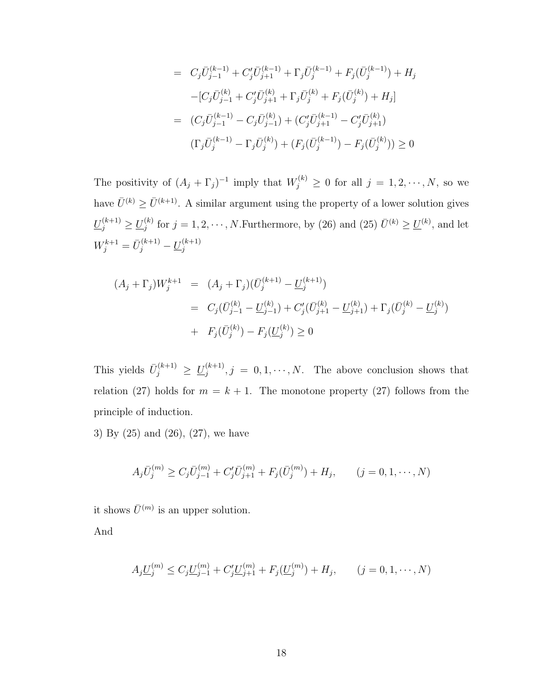$$
= C_j \bar{U}_{j-1}^{(k-1)} + C'_j \bar{U}_{j+1}^{(k-1)} + \Gamma_j \bar{U}_j^{(k-1)} + F_j(\bar{U}_j^{(k-1)}) + H_j
$$
  
\n
$$
- [C_j \bar{U}_{j-1}^{(k)} + C'_j \bar{U}_{j+1}^{(k)} + \Gamma_j \bar{U}_j^{(k)} + F_j(\bar{U}_j^{(k)}) + H_j]
$$
  
\n
$$
= (C_j \bar{U}_{j-1}^{(k-1)} - C_j \bar{U}_{j-1}^{(k)}) + (C'_j \bar{U}_{j+1}^{(k-1)} - C'_j \bar{U}_{j+1}^{(k)})
$$
  
\n
$$
(\Gamma_j \bar{U}_j^{(k-1)} - \Gamma_j \bar{U}_j^{(k)}) + (F_j(\bar{U}_j^{(k-1)}) - F_j(\bar{U}_j^{(k)})) \ge 0
$$

The positivity of  $(A_j + \Gamma_j)^{-1}$  imply that  $W_j^{(k)} \geq 0$  for all  $j = 1, 2, \dots, N$ , so we have  $\bar{U}^{(k)} \ge \bar{U}^{(k+1)}$ . A similar argument using the property of a lower solution gives  $\underline{U}_{j}^{(k+1)} \geq \underline{U}_{j}^{(k)}$  $j^{(k)}$  for  $j = 1, 2, \cdots, N$ . Furthermore, by (26) and (25)  $\bar{U}^{(k)} \ge \underline{U}^{(k)}$ , and let  $W_j^{k+1} = \bar{U}_j^{(k+1)} - \underline{U}_j^{(k+1)}$ j

$$
(A_j + \Gamma_j)W_j^{k+1} = (A_j + \Gamma_j)(\bar{U}_j^{(k+1)} - \underline{U}_j^{(k+1)})
$$
  
=  $C_j(\bar{U}_{j-1}^{(k)} - \underline{U}_{j-1}^{(k)}) + C_j'(\bar{U}_{j+1}^{(k)} - \underline{U}_{j+1}^{(k)}) + \Gamma_j(\bar{U}_j^{(k)} - \underline{U}_j^{(k)})$   
+  $F_j(\bar{U}_j^{(k)}) - F_j(\underline{U}_j^{(k)}) \ge 0$ 

This yields  $\bar{U}_j^{(k+1)} \geq \underline{U}_j^{(k+1)}$  $j_j^{(k+1)}, j = 0, 1, \dots, N$ . The above conclusion shows that relation (27) holds for  $m = k + 1$ . The monotone property (27) follows from the principle of induction.

3) By (25) and (26), (27), we have

$$
A_j \bar{U}_j^{(m)} \ge C_j \bar{U}_{j-1}^{(m)} + C'_j \bar{U}_{j+1}^{(m)} + F_j(\bar{U}_j^{(m)}) + H_j, \qquad (j = 0, 1, \cdots, N)
$$

it shows  $\bar{U}^{(m)}$  is an upper solution.

And

$$
A_j \underline{U}_j^{(m)} \le C_j \underline{U}_{j-1}^{(m)} + C'_j \underline{U}_{j+1}^{(m)} + F_j(\underline{U}_j^{(m)}) + H_j, \qquad (j = 0, 1, \cdots, N)
$$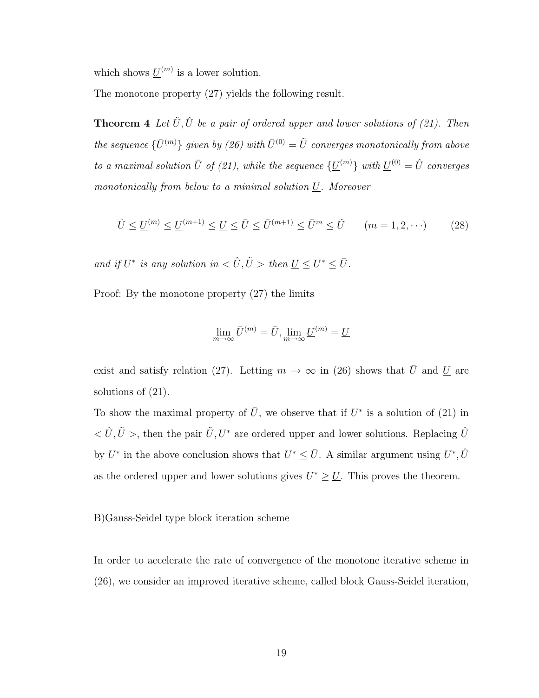which shows  $\underline{U}^{(m)}$  is a lower solution.

The monotone property (27) yields the following result.

**Theorem 4** Let  $\tilde{U}, \hat{U}$  be a pair of ordered upper and lower solutions of (21). Then the sequence  $\{\bar{U}^{(m)}\}$  given by (26) with  $\bar{U}^{(0)} = \tilde{U}$  converges monotonically from above to a maximal solution  $\bar{U}$  of (21), while the sequence  $\{\underline{U}^{(m)}\}\,$  with  $\underline{U}^{(0)} = \hat{U}$  converges monotonically from below to a minimal solution  $U$ . Moreover

$$
\hat{U} \le \underline{U}^{(m)} \le \underline{U}^{(m+1)} \le \underline{U} \le \bar{U} \le \bar{U}^{(m+1)} \le \bar{U}^m \le \tilde{U} \qquad (m = 1, 2, \cdots) \tag{28}
$$

and if  $U^*$  is any solution in  $\langle \hat{U}, \tilde{U} \rangle$  then  $\underline{U} \leq U^* \leq \overline{U}$ .

Proof: By the monotone property (27) the limits

$$
\lim_{m \to \infty} \bar{U}^{(m)} = \bar{U}, \lim_{m \to \infty} \underline{U}^{(m)} = \underline{U}
$$

exist and satisfy relation (27). Letting  $m \to \infty$  in (26) shows that  $\bar{U}$  and  $\underline{U}$  are solutions of  $(21)$ .

To show the maximal property of  $\overline{U}$ , we observe that if  $U^*$  is a solution of (21) in  $<\hat{U}, \tilde{U}>$ , then the pair  $\tilde{U}, U^*$  are ordered upper and lower solutions. Replacing  $\hat{U}$ by  $U^*$  in the above conclusion shows that  $U^* \leq \bar{U}$ . A similar argument using  $U^*, \hat{U}$ as the ordered upper and lower solutions gives  $U^* \geq U$ . This proves the theorem.

### B)Gauss-Seidel type block iteration scheme

In order to accelerate the rate of convergence of the monotone iterative scheme in (26), we consider an improved iterative scheme, called block Gauss-Seidel iteration,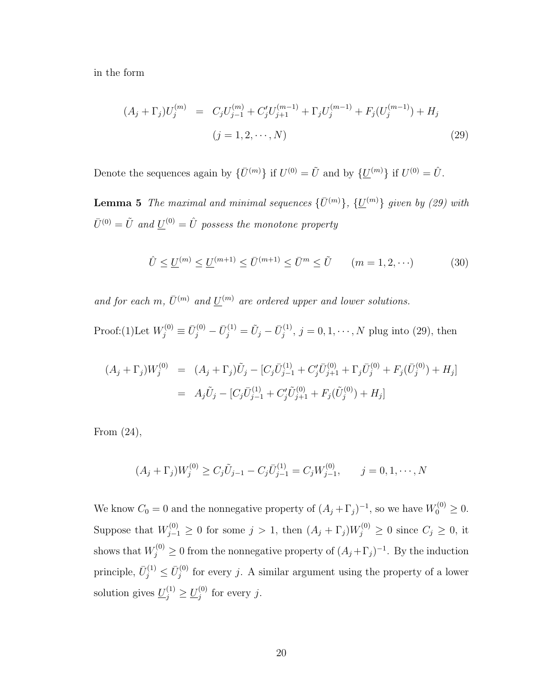in the form

$$
(A_j + \Gamma_j)U_j^{(m)} = C_j U_{j-1}^{(m)} + C'_j U_{j+1}^{(m-1)} + \Gamma_j U_j^{(m-1)} + F_j (U_j^{(m-1)}) + H_j
$$
  
(j = 1, 2, ..., N) (29)

Denote the sequences again by  $\{\bar{U}^{(m)}\}\$ if  $U^{(0)} = \tilde{U}$  and by  $\{\underline{U}^{(m)}\}\$ if  $U^{(0)} = \hat{U}$ .

**Lemma 5** The maximal and minimal sequences  $\{\bar{U}^{(m)}\}$ ,  $\{\underline{U}^{(m)}\}$  given by (29) with  $\bar U^{(0)} = \tilde U \,\, and \, \underline{U}^{(0)} = \hat U \,\,$  possess the monotone property

$$
\hat{U} \le \underline{U}^{(m)} \le \underline{U}^{(m+1)} \le \bar{U}^{(m+1)} \le \bar{U}^m \le \tilde{U} \qquad (m = 1, 2, \cdots)
$$
 (30)

and for each m,  $\bar{U}^{(m)}$  and  $\underline{U}^{(m)}$  are ordered upper and lower solutions.

Proof:(1)Let  $W_j^{(0)} \equiv \bar{U}_j^{(0)} - \bar{U}_j^{(1)} = \tilde{U}_j - \bar{U}_j^{(1)}$  $j_j^{(1)}$ ,  $j = 0, 1, \dots, N$  plug into (29), then

$$
(A_j + \Gamma_j)W_j^{(0)} = (A_j + \Gamma_j)\tilde{U}_j - [C_j\bar{U}_{j-1}^{(1)} + C_j'\bar{U}_{j+1}^{(0)} + \Gamma_j\bar{U}_j^{(0)} + F_j(\bar{U}_j^{(0)}) + H_j]
$$
  
=  $A_j\tilde{U}_j - [C_j\bar{U}_{j-1}^{(1)} + C_j'\tilde{U}_{j+1}^{(0)} + F_j(\tilde{U}_j^{(0)}) + H_j]$ 

From (24),

$$
(A_j + \Gamma_j)W_j^{(0)} \ge C_j \tilde{U}_{j-1} - C_j \bar{U}_{j-1}^{(1)} = C_j W_{j-1}^{(0)}, \qquad j = 0, 1, \cdots, N
$$

We know  $C_0 = 0$  and the nonnegative property of  $(A_j + \Gamma_j)^{-1}$ , so we have  $W_0^{(0)} \ge 0$ . Suppose that  $W_{j-1}^{(0)} \geq 0$  for some  $j > 1$ , then  $(A_j + \Gamma_j)W_j^{(0)} \geq 0$  since  $C_j \geq 0$ , it shows that  $W_j^{(0)} \geq 0$  from the nonnegative property of  $(A_j + \Gamma_j)^{-1}$ . By the induction principle,  $\bar{U}_j^{(1)} \leq \bar{U}_j^{(0)}$  $j_j^{(0)}$  for every j. A similar argument using the property of a lower solution gives  $\underline{U}_j^{(1)} \ge \underline{U}_j^{(0)}$  $j^{(0)}$  for every j.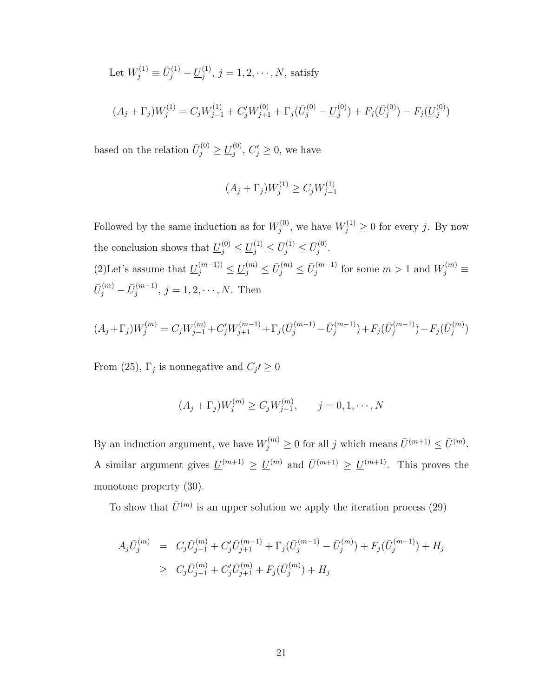Let  $W_j^{(1)} \equiv \bar{U}_j^{(1)} - \underline{U}_j^{(1)}$  $j^{(1)}$ ,  $j = 1, 2, \cdots, N$ , satisfy

$$
(A_j + \Gamma_j)W_j^{(1)} = C_j W_{j-1}^{(1)} + C_j' W_{j+1}^{(0)} + \Gamma_j(\bar{U}_j^{(0)} - \underline{U}_j^{(0)}) + F_j(\bar{U}_j^{(0)}) - F_j(\underline{U}_j^{(0)})
$$

based on the relation  $\bar{U}_j^{(0)} \geq \underline{U}_j^{(0)}$  $j^{(0)}$ ,  $C'_{j} \geq 0$ , we have

$$
(A_j + \Gamma_j)W_j^{(1)} \ge C_j W_{j-1}^{(1)}
$$

Followed by the same induction as for  $W_i^{(0)}$  $y_j^{(0)}$ , we have  $W_j^{(1)} \geq 0$  for every j. By now the conclusion shows that  $\underline{U}_j^{(0)} \leq \underline{U}_j^{(1)} \leq \overline{U}_j^{(1)} \leq \overline{U}_j^{(0)}$  $\frac{1}{j}^{(0)}$ . (2)Let's assume that  $\underline{U}_j^{(m-1)} \leq \underline{U}_j^{(m)} \leq \bar{U}_j^{(m)} \leq \bar{U}_j^{(m-1)}$  $j_j^{(m-1)}$  for some  $m > 1$  and  $W_j^{(m)} \equiv$  $\bar U^{(m)}_j - \bar U^{(m+1)}_j$  $j^{(m+1)}$ ,  $j = 1, 2, \cdots, N$ . Then

$$
(A_j + \Gamma_j)W_j^{(m)} = C_j W_{j-1}^{(m)} + C_j' W_{j+1}^{(m-1)} + \Gamma_j (\bar{U}_j^{(m-1)} - \bar{U}_j^{(m-1)}) + F_j (\bar{U}_j^{(m-1)}) - F_j (\bar{U}_j^{(m)})
$$

From (25),  $\Gamma_j$  is nonnegative and  $C_j \geq 0$ 

$$
(A_j + \Gamma_j)W_j^{(m)} \ge C_j W_{j-1}^{(m)}, \qquad j = 0, 1, \cdots, N
$$

By an induction argument, we have  $W_j^{(m)} \ge 0$  for all j which means  $\bar{U}^{(m+1)} \le \bar{U}^{(m)}$ . A similar argument gives  $\underline{U}^{(m+1)} \geq \underline{U}^{(m)}$  and  $\overline{U}^{(m+1)} \geq \underline{U}^{(m+1)}$ . This proves the monotone property (30).

To show that  $\bar{U}^{(m)}$  is an upper solution we apply the iteration process (29)

$$
A_j \bar{U}_j^{(m)} = C_j \bar{U}_{j-1}^{(m)} + C'_j \bar{U}_{j+1}^{(m-1)} + \Gamma_j (\bar{U}_j^{(m-1)} - \bar{U}_j^{(m)}) + F_j (\bar{U}_j^{(m-1)}) + H_j
$$
  
\n
$$
\geq C_j \bar{U}_{j-1}^{(m)} + C'_j \bar{U}_{j+1}^{(m)} + F_j (\bar{U}_j^{(m)}) + H_j
$$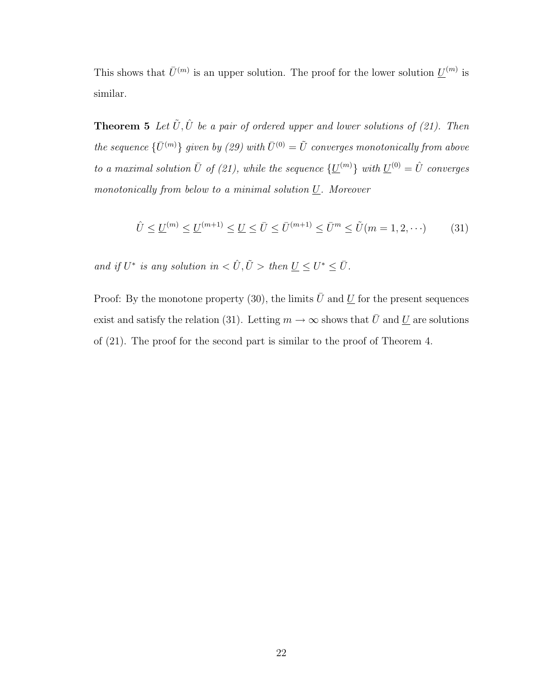This shows that  $\bar{U}^{(m)}$  is an upper solution. The proof for the lower solution  $\underline{U}^{(m)}$  is similar.

**Theorem 5** Let  $\tilde{U}, \hat{U}$  be a pair of ordered upper and lower solutions of (21). Then the sequence  $\{\bar{U}^{(m)}\}$  given by (29) with  $\bar{U}^{(0)} = \tilde{U}$  converges monotonically from above to a maximal solution  $\bar{U}$  of (21), while the sequence  $\{\underline{U}^{(m)}\}\,$  with  $\underline{U}^{(0)} = \hat{U}$  converges monotonically from below to a minimal solution U. Moreover

$$
\hat{U} \le \underline{U}^{(m)} \le \underline{U}^{(m+1)} \le \underline{U} \le \bar{U} \le \bar{U}^{(m+1)} \le \bar{U}^m \le \tilde{U}(m = 1, 2, \cdots)
$$
\n(31)

and if  $U^*$  is any solution in  $\langle \hat{U}, \tilde{U} \rangle$  then  $\underline{U} \leq U^* \leq \overline{U}$ .

Proof: By the monotone property (30), the limits  $\overline{U}$  and  $U$  for the present sequences exist and satisfy the relation (31). Letting  $m \to \infty$  shows that  $\bar{U}$  and  $\underline{U}$  are solutions of (21). The proof for the second part is similar to the proof of Theorem 4.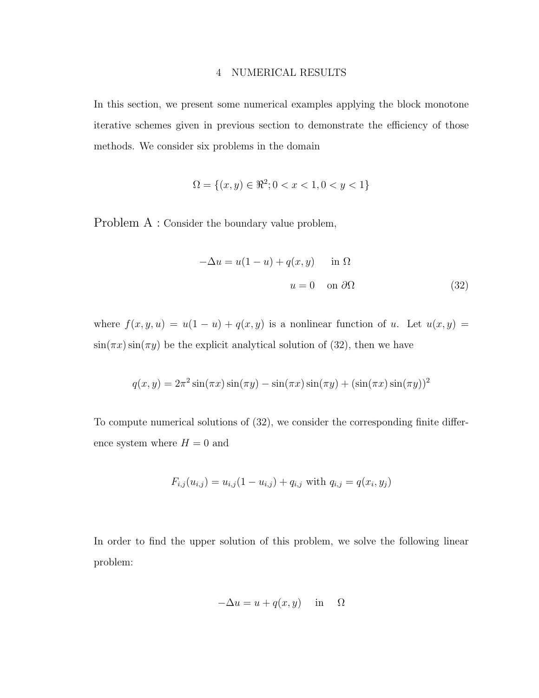#### 4 NUMERICAL RESULTS

In this section, we present some numerical examples applying the block monotone iterative schemes given in previous section to demonstrate the efficiency of those methods. We consider six problems in the domain

$$
\Omega = \{(x, y) \in \Re^2; 0 < x < 1, 0 < y < 1\}
$$

Problem A : Consider the boundary value problem,

$$
-\Delta u = u(1 - u) + q(x, y) \quad \text{in } \Omega
$$

$$
u = 0 \quad \text{on } \partial\Omega \tag{32}
$$

where  $f(x, y, u) = u(1 - u) + q(x, y)$  is a nonlinear function of u. Let  $u(x, y) =$  $\sin(\pi x) \sin(\pi y)$  be the explicit analytical solution of (32), then we have

$$
q(x,y) = 2\pi^2 \sin(\pi x) \sin(\pi y) - \sin(\pi x) \sin(\pi y) + (\sin(\pi x) \sin(\pi y))^2
$$

To compute numerical solutions of (32), we consider the corresponding finite difference system where  $H = 0$  and

$$
F_{i,j}(u_{i,j}) = u_{i,j}(1 - u_{i,j}) + q_{i,j} \text{ with } q_{i,j} = q(x_i, y_j)
$$

In order to find the upper solution of this problem, we solve the following linear problem:

$$
-\Delta u = u + q(x, y) \quad \text{in} \quad \Omega
$$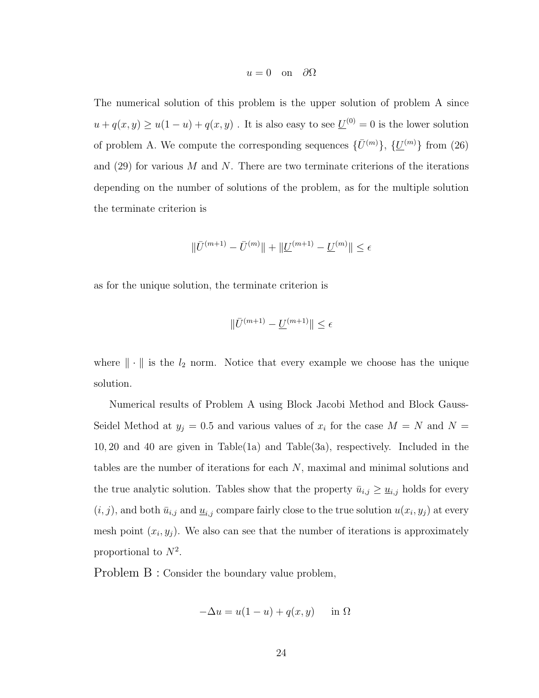$$
u = 0
$$
 on  $\partial\Omega$ 

The numerical solution of this problem is the upper solution of problem A since  $u + q(x, y) \ge u(1 - u) + q(x, y)$ . It is also easy to see  $\underline{U}^{(0)} = 0$  is the lower solution of problem A. We compute the corresponding sequences  $\{\bar{U}^{(m)}\}, \{\underline{U}^{(m)}\}$  from (26) and  $(29)$  for various M and N. There are two terminate criterions of the iterations depending on the number of solutions of the problem, as for the multiple solution the terminate criterion is

$$
\|\bar U^{(m+1)}-\bar U^{(m)}\|+\|\underline U^{(m+1)}-\underline U^{(m)}\|\leq \epsilon
$$

as for the unique solution, the terminate criterion is

$$
\|\bar{U}^{(m+1)} - \underline{U}^{(m+1)}\| \le \epsilon
$$

where  $\|\cdot\|$  is the  $l_2$  norm. Notice that every example we choose has the unique solution.

Numerical results of Problem A using Block Jacobi Method and Block Gauss-Seidel Method at  $y_j = 0.5$  and various values of  $x_i$  for the case  $M = N$  and  $N =$ 10, 20 and 40 are given in Table(1a) and Table(3a), respectively. Included in the tables are the number of iterations for each N, maximal and minimal solutions and the true analytic solution. Tables show that the property  $\bar{u}_{i,j} \geq \underline{u}_{i,j}$  holds for every  $(i, j)$ , and both  $\bar{u}_{i,j}$  and  $\underline{u}_{i,j}$  compare fairly close to the true solution  $u(x_i, y_j)$  at every mesh point  $(x_i, y_j)$ . We also can see that the number of iterations is approximately proportional to  $N^2$ .

Problem B : Consider the boundary value problem,

$$
-\Delta u = u(1 - u) + q(x, y) \quad \text{in } \Omega
$$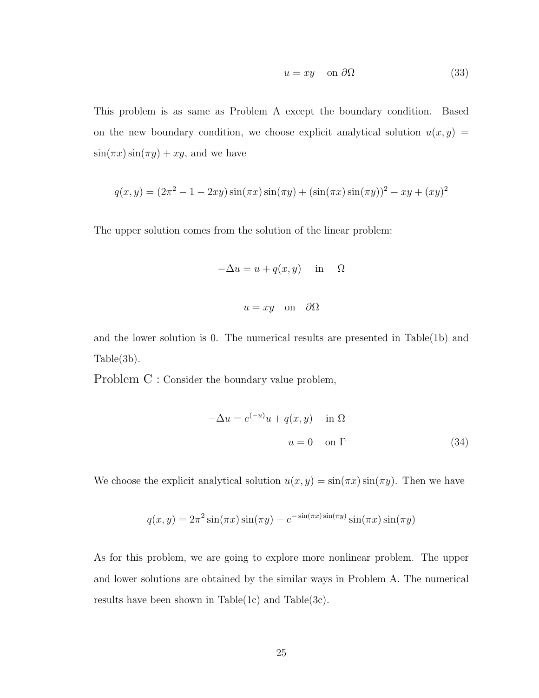$$
u = xy \quad \text{on } \partial\Omega \tag{33}
$$

This problem is as same as Problem A except the boundary condition. Based on the new boundary condition, we choose explicit analytical solution  $u(x, y) =$  $\sin(\pi x)\sin(\pi y) + xy$ , and we have

$$
q(x,y) = (2\pi^2 - 1 - 2xy)\sin(\pi x)\sin(\pi y) + (\sin(\pi x)\sin(\pi y))^2 - xy + (xy)^2
$$

The upper solution comes from the solution of the linear problem:

$$
-\Delta u = u + q(x, y) \quad \text{in} \quad \Omega
$$
  

$$
u = xy \quad \text{on} \quad \partial\Omega
$$

and the lower solution is 0. The numerical results are presented in Table(1b) and Table(3b).

Problem C : Consider the boundary value problem,

$$
-\Delta u = e^{(-u)}u + q(x, y) \quad \text{in } \Omega
$$

$$
u = 0 \quad \text{on } \Gamma
$$
 (34)

We choose the explicit analytical solution  $u(x, y) = \sin(\pi x) \sin(\pi y)$ . Then we have

$$
q(x, y) = 2\pi^2 \sin(\pi x) \sin(\pi y) - e^{-\sin(\pi x) \sin(\pi y)} \sin(\pi x) \sin(\pi y)
$$

As for this problem, we are going to explore more nonlinear problem. The upper and lower solutions are obtained by the similar ways in Problem A. The numerical results have been shown in Table $(1c)$  and Table $(3c)$ .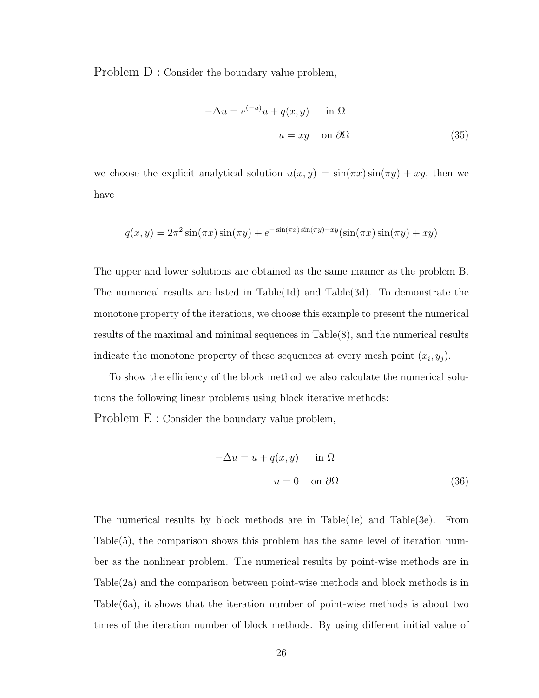Problem D : Consider the boundary value problem,

$$
-\Delta u = e^{(-u)}u + q(x, y) \quad \text{in } \Omega
$$

$$
u = xy \quad \text{on } \partial\Omega \tag{35}
$$

we choose the explicit analytical solution  $u(x, y) = \sin(\pi x) \sin(\pi y) + xy$ , then we have

$$
q(x,y) = 2\pi^2 \sin(\pi x) \sin(\pi y) + e^{-\sin(\pi x) \sin(\pi y) - xy} (\sin(\pi x) \sin(\pi y) + xy)
$$

The upper and lower solutions are obtained as the same manner as the problem B. The numerical results are listed in Table(1d) and Table(3d). To demonstrate the monotone property of the iterations, we choose this example to present the numerical results of the maximal and minimal sequences in Table(8), and the numerical results indicate the monotone property of these sequences at every mesh point  $(x_i, y_j)$ .

To show the efficiency of the block method we also calculate the numerical solutions the following linear problems using block iterative methods:

Problem E : Consider the boundary value problem,

$$
-\Delta u = u + q(x, y) \quad \text{in } \Omega
$$

$$
u = 0 \quad \text{on } \partial\Omega \tag{36}
$$

The numerical results by block methods are in Table(1e) and Table(3e). From Table(5), the comparison shows this problem has the same level of iteration number as the nonlinear problem. The numerical results by point-wise methods are in Table(2a) and the comparison between point-wise methods and block methods is in Table(6a), it shows that the iteration number of point-wise methods is about two times of the iteration number of block methods. By using different initial value of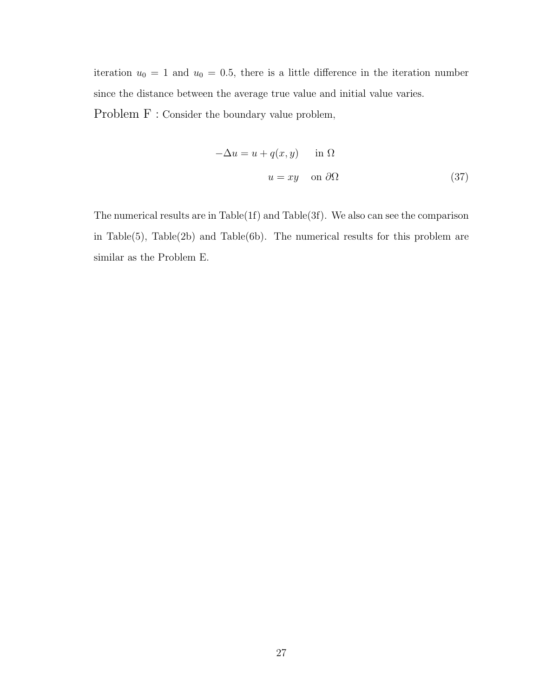iteration  $u_0 = 1$  and  $u_0 = 0.5$ , there is a little difference in the iteration number since the distance between the average true value and initial value varies. Problem F : Consider the boundary value problem,

$$
-\Delta u = u + q(x, y) \quad \text{in } \Omega
$$

$$
u = xy \quad \text{on } \partial\Omega \tag{37}
$$

The numerical results are in Table(1f) and Table(3f). We also can see the comparison in Table $(5)$ , Table $(2b)$  and Table $(6b)$ . The numerical results for this problem are similar as the Problem E.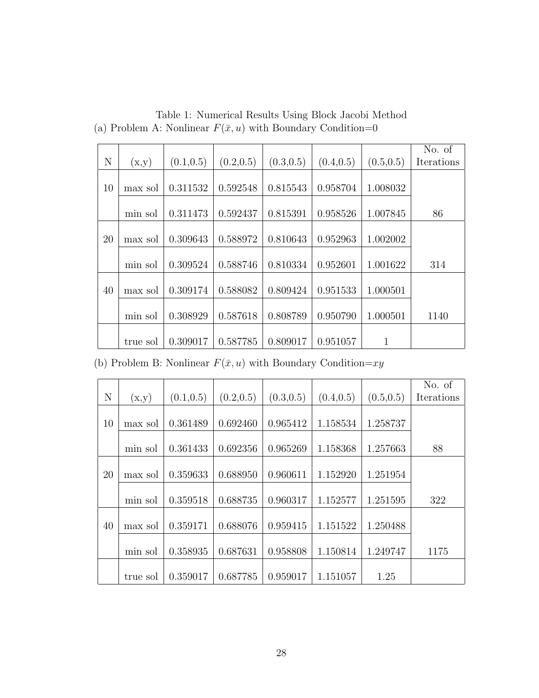|    |          |            |            |            |            |              | No. of     |
|----|----------|------------|------------|------------|------------|--------------|------------|
| N  | (x,y)    | (0.1, 0.5) | (0.2, 0.5) | (0.3, 0.5) | (0.4, 0.5) | (0.5, 0.5)   | Iterations |
|    |          |            |            |            |            |              |            |
| 10 | max sol  | 0.311532   | 0.592548   | 0.815543   | 0.958704   | 1.008032     |            |
|    |          |            |            |            |            |              |            |
|    | min sol  | 0.311473   | 0.592437   | 0.815391   | 0.958526   | 1.007845     | 86         |
|    |          |            |            |            |            |              |            |
| 20 | max sol  | 0.309643   | 0.588972   | 0.810643   | 0.952963   | 1.002002     |            |
|    |          |            |            |            |            |              |            |
|    | min sol  | 0.309524   | 0.588746   | 0.810334   | 0.952601   | 1.001622     | 314        |
|    |          |            |            |            |            |              |            |
| 40 | max sol  | 0.309174   | 0.588082   | 0.809424   | 0.951533   | 1.000501     |            |
|    |          |            |            |            |            |              |            |
|    | min sol  | 0.308929   | 0.587618   | 0.808789   | 0.950790   | 1.000501     | 1140       |
|    |          |            |            |            |            |              |            |
|    | true sol | 0.309017   | 0.587785   | 0.809017   | 0.951057   | $\mathbf{1}$ |            |

Table 1: Numerical Results Using Block Jacobi Method (a) Problem A: Nonlinear  $F(\bar{x}, u)$  with Boundary Condition=0

(b) Problem B: Nonlinear  $F(\bar{x}, u)$  with Boundary Condition= $xy$ 

|             |          |            |            |            |            |            | No. of     |
|-------------|----------|------------|------------|------------|------------|------------|------------|
| $\mathbf N$ | (x,y)    | (0.1, 0.5) | (0.2, 0.5) | (0.3, 0.5) | (0.4, 0.5) | (0.5, 0.5) | Iterations |
|             |          |            |            |            |            |            |            |
| 10          | max sol  | 0.361489   | 0.692460   | 0.965412   | 1.158534   | 1.258737   |            |
|             |          |            |            |            |            |            |            |
|             | min sol  | 0.361433   | 0.692356   | 0.965269   | 1.158368   | 1.257663   | 88         |
|             |          |            |            |            |            |            |            |
| 20          | max sol  | 0.359633   | 0.688950   | 0.960611   | 1.152920   | 1.251954   |            |
|             |          |            |            |            |            |            |            |
|             | min sol  | 0.359518   | 0.688735   | 0.960317   | 1.152577   | 1.251595   | 322        |
|             |          |            |            |            |            |            |            |
| 40          | max sol  | 0.359171   | 0.688076   | 0.959415   | 1.151522   | 1.250488   |            |
|             |          |            |            |            |            |            |            |
|             | min sol  | 0.358935   | 0.687631   | 0.958808   | 1.150814   | 1.249747   | 1175       |
|             |          |            |            |            |            |            |            |
|             | true sol | 0.359017   | 0.687785   | 0.959017   | 1.151057   | 1.25       |            |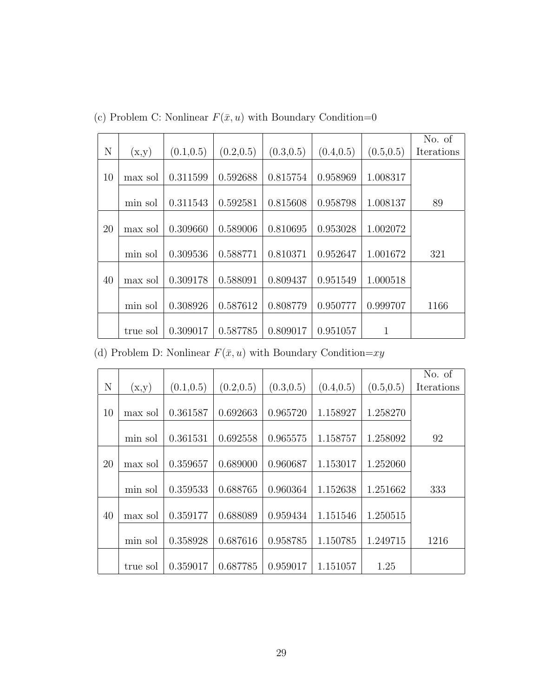|    |          |            |            |            |            |              | No. of     |
|----|----------|------------|------------|------------|------------|--------------|------------|
| N  | (x,y)    | (0.1, 0.5) | (0.2, 0.5) | (0.3, 0.5) | (0.4, 0.5) | (0.5, 0.5)   | Iterations |
|    |          |            |            |            |            |              |            |
| 10 | max sol  | 0.311599   | 0.592688   | 0.815754   | 0.958969   | 1.008317     |            |
|    |          |            |            |            |            |              |            |
|    | min sol  | 0.311543   | 0.592581   | 0.815608   | 0.958798   | 1.008137     | 89         |
|    |          |            |            |            |            |              |            |
| 20 | max sol  | 0.309660   | 0.589006   | 0.810695   | 0.953028   | 1.002072     |            |
|    |          |            |            |            |            |              |            |
|    | min sol  | 0.309536   | 0.588771   | 0.810371   | 0.952647   | 1.001672     | 321        |
|    |          |            |            |            |            |              |            |
| 40 | max sol  | 0.309178   | 0.588091   | 0.809437   | 0.951549   | 1.000518     |            |
|    |          |            |            |            |            |              |            |
|    | min sol  | 0.308926   | 0.587612   | 0.808779   | 0.950777   | 0.999707     | 1166       |
|    |          |            |            |            |            |              |            |
|    | true sol | 0.309017   | 0.587785   | 0.809017   | 0.951057   | $\mathbf{1}$ |            |

(c) Problem C: Nonlinear  $F(\bar{x}, u)$  with Boundary Condition=0

(d) Problem D: Nonlinear  $F(\bar x, u)$  with Boundary Condition= $xy$ 

|             |          |            |            |            |            |            | No. of     |
|-------------|----------|------------|------------|------------|------------|------------|------------|
| $\mathbf N$ | (x,y)    | (0.1, 0.5) | (0.2, 0.5) | (0.3, 0.5) | (0.4, 0.5) | (0.5, 0.5) | Iterations |
|             |          |            |            |            |            |            |            |
| 10          | max sol  | 0.361587   | 0.692663   | 0.965720   | 1.158927   | 1.258270   |            |
|             |          |            |            |            |            |            |            |
|             | min sol  | 0.361531   | 0.692558   | 0.965575   | 1.158757   | 1.258092   | 92         |
|             |          |            |            |            |            |            |            |
| 20          | max sol  | 0.359657   | 0.689000   | 0.960687   | 1.153017   | 1.252060   |            |
|             |          |            |            |            |            |            |            |
|             | min sol  | 0.359533   | 0.688765   | 0.960364   | 1.152638   | 1.251662   | 333        |
|             |          |            |            |            |            |            |            |
| 40          | max sol  | 0.359177   | 0.688089   | 0.959434   | 1.151546   | 1.250515   |            |
|             |          |            |            |            |            |            |            |
|             | min sol  | 0.358928   | 0.687616   | 0.958785   | 1.150785   | 1.249715   | 1216       |
|             |          |            |            |            |            |            |            |
|             | true sol | 0.359017   | 0.687785   | 0.959017   | 1.151057   | 1.25       |            |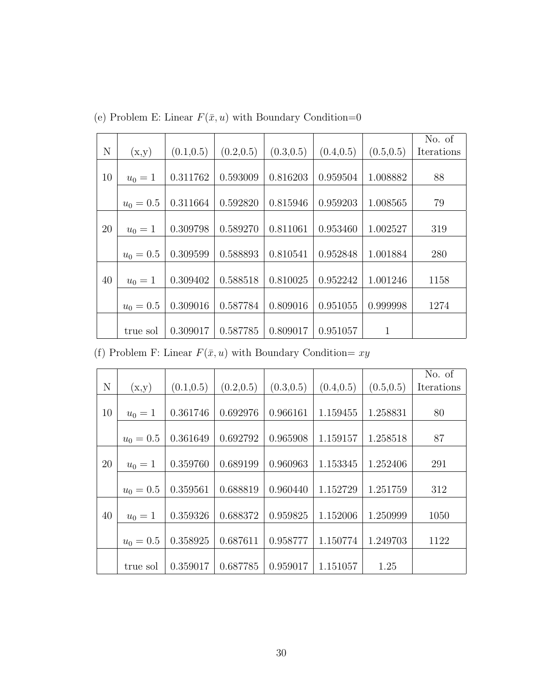|    |             |            |            |            |            |            | No. of     |
|----|-------------|------------|------------|------------|------------|------------|------------|
| N  | (x,y)       | (0.1, 0.5) | (0.2, 0.5) | (0.3, 0.5) | (0.4, 0.5) | (0.5, 0.5) | Iterations |
|    |             |            |            |            |            |            |            |
| 10 | $u_0 = 1$   | 0.311762   | 0.593009   | 0.816203   | 0.959504   | 1.008882   | 88         |
|    |             |            |            |            |            |            |            |
|    | $u_0 = 0.5$ | 0.311664   | 0.592820   | 0.815946   | 0.959203   | 1.008565   | 79         |
|    |             |            |            |            |            |            |            |
| 20 | $u_0 = 1$   | 0.309798   | 0.589270   | 0.811061   | 0.953460   | 1.002527   | 319        |
|    |             |            |            |            |            |            |            |
|    | $u_0 = 0.5$ | 0.309599   | 0.588893   | 0.810541   | 0.952848   | 1.001884   | 280        |
|    |             |            |            |            |            |            |            |
| 40 | $u_0 = 1$   | 0.309402   | 0.588518   | 0.810025   | 0.952242   | 1.001246   | 1158       |
|    |             |            |            |            |            |            |            |
|    | $u_0 = 0.5$ | 0.309016   | 0.587784   | 0.809016   | 0.951055   | 0.999998   | 1274       |
|    |             |            |            |            |            |            |            |
|    | true sol    | 0.309017   | 0.587785   | 0.809017   | 0.951057   | 1          |            |

(e) Problem E: Linear  $F(\bar{x}, u)$  with Boundary Condition=0

(f) Problem F: Linear  $F(\bar x, u)$  with Boundary Condition=  $xy$ 

|    |             |            |            |            |            |            | No. of     |
|----|-------------|------------|------------|------------|------------|------------|------------|
| N  | (x,y)       | (0.1, 0.5) | (0.2, 0.5) | (0.3, 0.5) | (0.4, 0.5) | (0.5, 0.5) | Iterations |
|    |             |            |            |            |            |            |            |
| 10 | $u_0 = 1$   | 0.361746   | 0.692976   | 0.966161   | 1.159455   | 1.258831   | 80         |
|    |             |            |            |            |            |            |            |
|    | $u_0 = 0.5$ | 0.361649   | 0.692792   | 0.965908   | 1.159157   | 1.258518   | 87         |
|    |             |            |            |            |            |            |            |
| 20 | $u_0 = 1$   | 0.359760   | 0.689199   | 0.960963   | 1.153345   | 1.252406   | 291        |
|    |             |            |            |            |            |            |            |
|    | $u_0 = 0.5$ | 0.359561   | 0.688819   | 0.960440   | 1.152729   | 1.251759   | 312        |
|    |             |            |            |            |            |            |            |
| 40 | $u_0 = 1$   | 0.359326   | 0.688372   | 0.959825   | 1.152006   | 1.250999   | 1050       |
|    |             |            |            |            |            |            |            |
|    | $u_0 = 0.5$ | 0.358925   | 0.687611   | 0.958777   | 1.150774   | 1.249703   | 1122       |
|    |             |            |            |            |            |            |            |
|    | true sol    | 0.359017   | 0.687785   | 0.959017   | 1.151057   | 1.25       |            |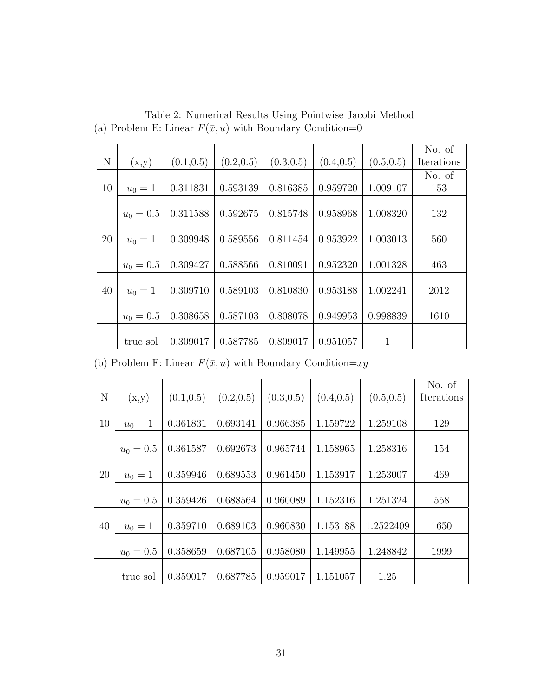|    |             |            |            |            |            |            | No. of     |
|----|-------------|------------|------------|------------|------------|------------|------------|
| N  | (x,y)       | (0.1, 0.5) | (0.2, 0.5) | (0.3, 0.5) | (0.4, 0.5) | (0.5, 0.5) | Iterations |
|    |             |            |            |            |            |            | No. of     |
| 10 | $u_0 = 1$   | 0.311831   | 0.593139   | 0.816385   | 0.959720   | 1.009107   | 153        |
|    |             |            |            |            |            |            |            |
|    | $u_0 = 0.5$ | 0.311588   | 0.592675   | 0.815748   | 0.958968   | 1.008320   | 132        |
|    |             |            |            |            |            |            |            |
| 20 | $u_0 = 1$   | 0.309948   | 0.589556   | 0.811454   | 0.953922   | 1.003013   | 560        |
|    |             |            |            |            |            |            |            |
|    | $u_0 = 0.5$ | 0.309427   | 0.588566   | 0.810091   | 0.952320   | 1.001328   | 463        |
|    |             |            |            |            |            |            |            |
| 40 | $u_0 = 1$   | 0.309710   | 0.589103   | 0.810830   | 0.953188   | 1.002241   | 2012       |
|    |             |            |            |            |            |            |            |
|    | $u_0 = 0.5$ | 0.308658   | 0.587103   | 0.808078   | 0.949953   | 0.998839   | 1610       |
|    |             |            |            |            |            |            |            |
|    | true sol    | 0.309017   | 0.587785   | 0.809017   | 0.951057   | 1          |            |

Table 2: Numerical Results Using Pointwise Jacobi Method (a) Problem E: Linear  $F(\bar{x}, u)$  with Boundary Condition=0

(b) Problem F: Linear  $F(\bar x, u)$  with Boundary Condition= $xy$ 

|    |             |            |            |            |            |            | No. of     |
|----|-------------|------------|------------|------------|------------|------------|------------|
| N  | (x,y)       | (0.1, 0.5) | (0.2, 0.5) | (0.3, 0.5) | (0.4, 0.5) | (0.5, 0.5) | Iterations |
|    |             |            |            |            |            |            |            |
| 10 | $u_0 = 1$   | 0.361831   | 0.693141   | 0.966385   | 1.159722   | 1.259108   | 129        |
|    |             |            |            |            |            |            |            |
|    | $u_0 = 0.5$ | 0.361587   | 0.692673   | 0.965744   | 1.158965   | 1.258316   | 154        |
|    |             |            |            |            |            |            |            |
| 20 | $u_0 = 1$   | 0.359946   | 0.689553   | 0.961450   | 1.153917   | 1.253007   | 469        |
|    |             |            |            |            |            |            |            |
|    | $u_0 = 0.5$ | 0.359426   | 0.688564   | 0.960089   | 1.152316   | 1.251324   | 558        |
|    |             |            |            |            |            |            |            |
| 40 | $u_0 = 1$   | 0.359710   | 0.689103   | 0.960830   | 1.153188   | 1.2522409  | 1650       |
|    |             |            |            |            |            |            |            |
|    | $u_0 = 0.5$ | 0.358659   | 0.687105   | 0.958080   | 1.149955   | 1.248842   | 1999       |
|    |             |            |            |            |            |            |            |
|    | true sol    | 0.359017   | 0.687785   | 0.959017   | 1.151057   | 1.25       |            |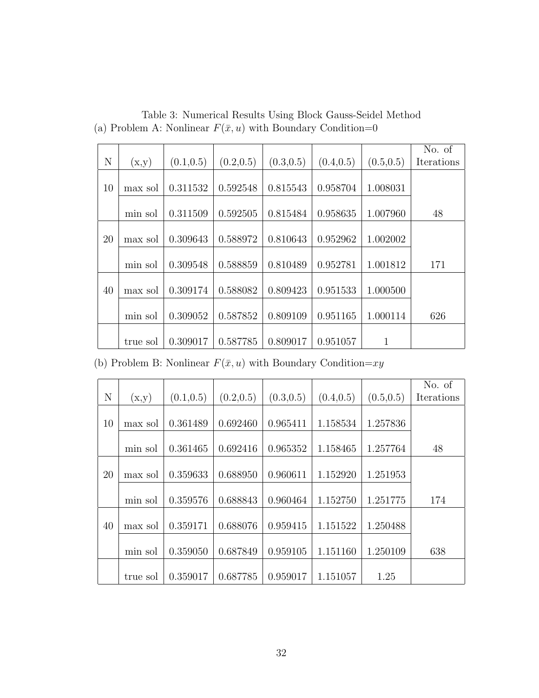|    |          |            |            |            |            |              | No. of     |
|----|----------|------------|------------|------------|------------|--------------|------------|
| N  | (x,y)    | (0.1, 0.5) | (0.2, 0.5) | (0.3, 0.5) | (0.4, 0.5) | (0.5, 0.5)   | Iterations |
|    |          |            |            |            |            |              |            |
| 10 | max sol  | 0.311532   | 0.592548   | 0.815543   | 0.958704   | 1.008031     |            |
|    |          |            |            |            |            |              |            |
|    | min sol  | 0.311509   | 0.592505   | 0.815484   | 0.958635   | 1.007960     | 48         |
|    |          |            |            |            |            |              |            |
| 20 | max sol  | 0.309643   | 0.588972   | 0.810643   | 0.952962   | 1.002002     |            |
|    |          |            |            |            |            |              |            |
|    | min sol  | 0.309548   | 0.588859   | 0.810489   | 0.952781   | 1.001812     | 171        |
|    |          |            |            |            |            |              |            |
| 40 | max sol  | 0.309174   | 0.588082   | 0.809423   | 0.951533   | 1.000500     |            |
|    |          |            |            |            |            |              |            |
|    | min sol  | 0.309052   | 0.587852   | 0.809109   | 0.951165   | 1.000114     | 626        |
|    |          |            |            |            |            |              |            |
|    | true sol | 0.309017   | 0.587785   | 0.809017   | 0.951057   | $\mathbf{1}$ |            |

Table 3: Numerical Results Using Block Gauss-Seidel Method (a) Problem A: Nonlinear  $F(\bar{x}, u)$  with Boundary Condition=0

(b) Problem B: Nonlinear  $F(\bar{x}, u)$  with Boundary Condition= $xy$ 

|             |          |            |            |            |            |            | No. of     |
|-------------|----------|------------|------------|------------|------------|------------|------------|
| $\mathbf N$ | (x,y)    | (0.1, 0.5) | (0.2, 0.5) | (0.3, 0.5) | (0.4, 0.5) | (0.5, 0.5) | Iterations |
|             |          |            |            |            |            |            |            |
| 10          | max sol  | 0.361489   | 0.692460   | 0.965411   | 1.158534   | 1.257836   |            |
|             |          |            |            |            |            |            |            |
|             | min sol  | 0.361465   | 0.692416   | 0.965352   | 1.158465   | 1.257764   | 48         |
|             |          |            |            |            |            |            |            |
| 20          | max sol  | 0.359633   | 0.688950   | 0.960611   | 1.152920   | 1.251953   |            |
|             |          |            |            |            |            |            |            |
|             | min sol  | 0.359576   | 0.688843   | 0.960464   | 1.152750   | 1.251775   | 174        |
|             |          |            |            |            |            |            |            |
| 40          | max sol  | 0.359171   | 0.688076   | 0.959415   | 1.151522   | 1.250488   |            |
|             |          |            |            |            |            |            |            |
|             | min sol  | 0.359050   | 0.687849   | 0.959105   | 1.151160   | 1.250109   | 638        |
|             |          |            |            |            |            |            |            |
|             | true sol | 0.359017   | 0.687785   | 0.959017   | 1.151057   | 1.25       |            |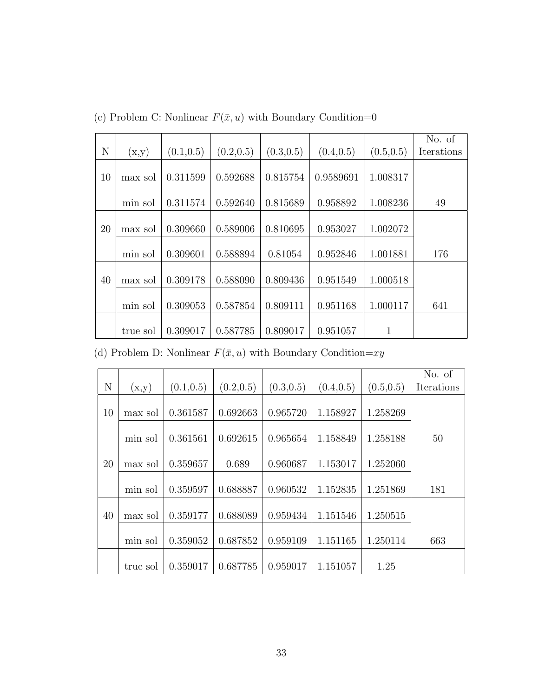|    |          |            |            |            |            |            | No. of     |
|----|----------|------------|------------|------------|------------|------------|------------|
| N  | (x,y)    | (0.1, 0.5) | (0.2, 0.5) | (0.3, 0.5) | (0.4, 0.5) | (0.5, 0.5) | Iterations |
|    |          |            |            |            |            |            |            |
| 10 | max sol  | 0.311599   | 0.592688   | 0.815754   | 0.9589691  | 1.008317   |            |
|    |          |            |            |            |            |            |            |
|    | min sol  | 0.311574   | 0.592640   | 0.815689   | 0.958892   | 1.008236   | 49         |
|    |          |            |            |            |            |            |            |
| 20 | max sol  | 0.309660   | 0.589006   | 0.810695   | 0.953027   | 1.002072   |            |
|    |          |            |            |            |            |            |            |
|    | min sol  | 0.309601   | 0.588894   | 0.81054    | 0.952846   | 1.001881   | 176        |
|    |          |            |            |            |            |            |            |
| 40 | max sol  | 0.309178   | 0.588090   | 0.809436   | 0.951549   | 1.000518   |            |
|    |          |            |            |            |            |            |            |
|    | min sol  | 0.309053   | 0.587854   | 0.809111   | 0.951168   | 1.000117   | 641        |
|    |          |            |            |            |            |            |            |
|    | true sol | 0.309017   | 0.587785   | 0.809017   | 0.951057   | 1          |            |

(c) Problem C: Nonlinear  $F(\bar{x}, u)$  with Boundary Condition=0

(d) Problem D: Nonlinear  $F(\bar x, u)$  with Boundary Condition= $xy$ 

|             |          |            |            |            |            |            | No. of     |
|-------------|----------|------------|------------|------------|------------|------------|------------|
| $\mathbf N$ | (x,y)    | (0.1, 0.5) | (0.2, 0.5) | (0.3, 0.5) | (0.4, 0.5) | (0.5, 0.5) | Iterations |
|             |          |            |            |            |            |            |            |
| 10          | max sol  | 0.361587   | 0.692663   | 0.965720   | 1.158927   | 1.258269   |            |
|             |          |            |            |            |            |            |            |
|             | min sol  | 0.361561   | 0.692615   | 0.965654   | 1.158849   | 1.258188   | 50         |
|             |          |            |            |            |            |            |            |
| 20          | max sol  | 0.359657   | 0.689      | 0.960687   | 1.153017   | 1.252060   |            |
|             |          |            |            |            |            |            |            |
|             | min sol  | 0.359597   | 0.688887   | 0.960532   | 1.152835   | 1.251869   | 181        |
|             |          |            |            |            |            |            |            |
| 40          | max sol  | 0.359177   | 0.688089   | 0.959434   | 1.151546   | 1.250515   |            |
|             |          |            |            |            |            |            |            |
|             | min sol  | 0.359052   | 0.687852   | 0.959109   | 1.151165   | 1.250114   | 663        |
|             |          |            |            |            |            |            |            |
|             | true sol | 0.359017   | 0.687785   | 0.959017   | 1.151057   | 1.25       |            |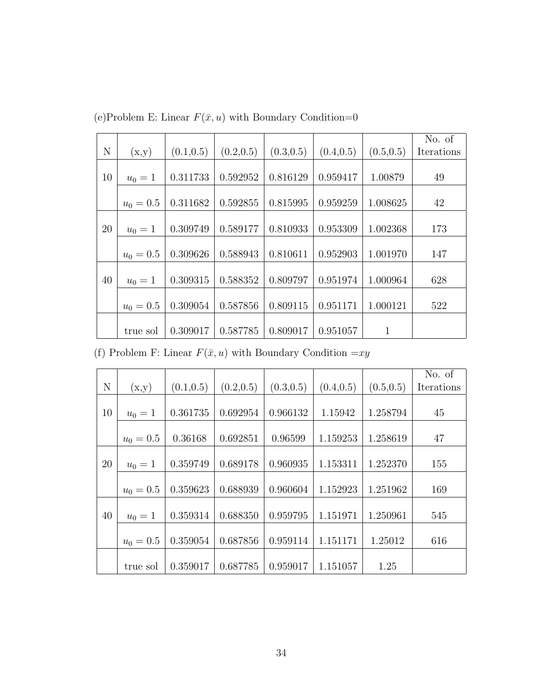|    |             |            |            |            |            |            | No. of     |
|----|-------------|------------|------------|------------|------------|------------|------------|
| N  | (x,y)       | (0.1, 0.5) | (0.2, 0.5) | (0.3, 0.5) | (0.4, 0.5) | (0.5, 0.5) | Iterations |
|    |             |            |            |            |            |            |            |
| 10 | $u_0 = 1$   | 0.311733   | 0.592952   | 0.816129   | 0.959417   | 1.00879    | 49         |
|    |             |            |            |            |            |            |            |
|    | $u_0 = 0.5$ | 0.311682   | 0.592855   | 0.815995   | 0.959259   | 1.008625   | 42         |
|    |             |            |            |            |            |            |            |
| 20 | $u_0 = 1$   | 0.309749   | 0.589177   | 0.810933   | 0.953309   | 1.002368   | 173        |
|    |             |            |            |            |            |            |            |
|    | $u_0 = 0.5$ | 0.309626   | 0.588943   | 0.810611   | 0.952903   | 1.001970   | 147        |
|    |             |            |            |            |            |            |            |
| 40 | $u_0 = 1$   | 0.309315   | 0.588352   | 0.809797   | 0.951974   | 1.000964   | 628        |
|    |             |            |            |            |            |            |            |
|    | $u_0 = 0.5$ | 0.309054   | 0.587856   | 0.809115   | 0.951171   | 1.000121   | 522        |
|    |             |            |            |            |            |            |            |
|    | true sol    | 0.309017   | 0.587785   | 0.809017   | 0.951057   | 1          |            |

(e)Problem E: Linear  $F(\bar x, u)$  with Boundary Condition=0

(f) Problem F: Linear  $F(\bar x, u)$  with Boundary Condition  $= \! xy$ 

|    |             |            |            |            |            |            | No. of     |
|----|-------------|------------|------------|------------|------------|------------|------------|
| N  | (x,y)       | (0.1, 0.5) | (0.2, 0.5) | (0.3, 0.5) | (0.4, 0.5) | (0.5, 0.5) | Iterations |
|    |             |            |            |            |            |            |            |
| 10 | $u_0 = 1$   | 0.361735   | 0.692954   | 0.966132   | 1.15942    | 1.258794   | 45         |
|    |             |            |            |            |            |            |            |
|    | $u_0 = 0.5$ | 0.36168    | 0.692851   | 0.96599    | 1.159253   | 1.258619   | 47         |
|    |             |            |            |            |            |            |            |
| 20 | $u_0 = 1$   | 0.359749   | 0.689178   | 0.960935   | 1.153311   | 1.252370   | 155        |
|    |             |            |            |            |            |            |            |
|    | $u_0 = 0.5$ | 0.359623   | 0.688939   | 0.960604   | 1.152923   | 1.251962   | 169        |
|    |             |            |            |            |            |            |            |
| 40 | $u_0 = 1$   | 0.359314   | 0.688350   | 0.959795   | 1.151971   | 1.250961   | 545        |
|    |             |            |            |            |            |            |            |
|    | $u_0 = 0.5$ | 0.359054   | 0.687856   | 0.959114   | 1.151171   | 1.25012    | 616        |
|    |             |            |            |            |            |            |            |
|    | true sol    | 0.359017   | 0.687785   | 0.959017   | 1.151057   | 1.25       |            |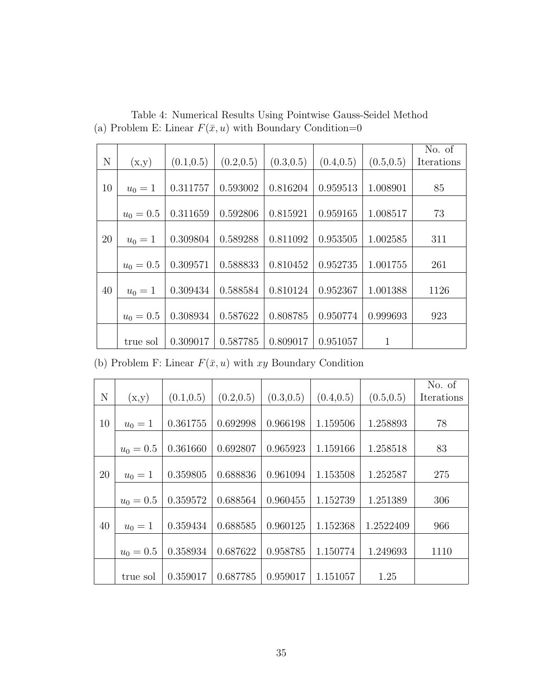|    |             |            |            |            |            |              | No. of     |
|----|-------------|------------|------------|------------|------------|--------------|------------|
| N  | (x,y)       | (0.1, 0.5) | (0.2, 0.5) | (0.3, 0.5) | (0.4, 0.5) | (0.5, 0.5)   | Iterations |
|    |             |            |            |            |            |              |            |
| 10 | $u_0 = 1$   | 0.311757   | 0.593002   | 0.816204   | 0.959513   | 1.008901     | 85         |
|    |             |            |            |            |            |              |            |
|    | $u_0 = 0.5$ | 0.311659   | 0.592806   | 0.815921   | 0.959165   | 1.008517     | 73         |
|    |             |            |            |            |            |              |            |
| 20 | $u_0 = 1$   | 0.309804   | 0.589288   | 0.811092   | 0.953505   | 1.002585     | 311        |
|    |             |            |            |            |            |              |            |
|    | $u_0 = 0.5$ | 0.309571   | 0.588833   | 0.810452   | 0.952735   | 1.001755     | 261        |
|    |             |            |            |            |            |              |            |
| 40 | $u_0 = 1$   | 0.309434   | 0.588584   | 0.810124   | 0.952367   | 1.001388     | 1126       |
|    |             |            |            |            |            |              |            |
|    | $u_0 = 0.5$ | 0.308934   | 0.587622   | 0.808785   | 0.950774   | 0.999693     | 923        |
|    |             |            |            |            |            |              |            |
|    | true sol    | 0.309017   | 0.587785   | 0.809017   | 0.951057   | $\mathbf{1}$ |            |

Table 4: Numerical Results Using Pointwise Gauss-Seidel Method (a) Problem E: Linear  $F(\bar{x}, u)$  with Boundary Condition=0

(b) Problem F: Linear  $F(\bar x, u)$  with  $xy$  Boundary Condition

|    |             |            |            |            |            |            | No. of     |
|----|-------------|------------|------------|------------|------------|------------|------------|
| N  | (x,y)       | (0.1, 0.5) | (0.2, 0.5) | (0.3, 0.5) | (0.4, 0.5) | (0.5, 0.5) | Iterations |
|    |             |            |            |            |            |            |            |
| 10 | $u_0 = 1$   | 0.361755   | 0.692998   | 0.966198   | 1.159506   | 1.258893   | 78         |
|    |             |            |            |            |            |            |            |
|    | $u_0 = 0.5$ | 0.361660   | 0.692807   | 0.965923   | 1.159166   | 1.258518   | 83         |
|    |             |            |            |            |            |            |            |
| 20 | $u_0 = 1$   | 0.359805   | 0.688836   | 0.961094   | 1.153508   | 1.252587   | 275        |
|    |             |            |            |            |            |            |            |
|    | $u_0 = 0.5$ | 0.359572   | 0.688564   | 0.960455   | 1.152739   | 1.251389   | 306        |
|    |             |            |            |            |            |            |            |
| 40 | $u_0 = 1$   | 0.359434   | 0.688585   | 0.960125   | 1.152368   | 1.2522409  | 966        |
|    |             |            |            |            |            |            |            |
|    | $u_0 = 0.5$ | 0.358934   | 0.687622   | 0.958785   | 1.150774   | 1.249693   | 1110       |
|    |             |            |            |            |            |            |            |
|    | true sol    | 0.359017   | 0.687785   | 0.959017   | 1.151057   | 1.25       |            |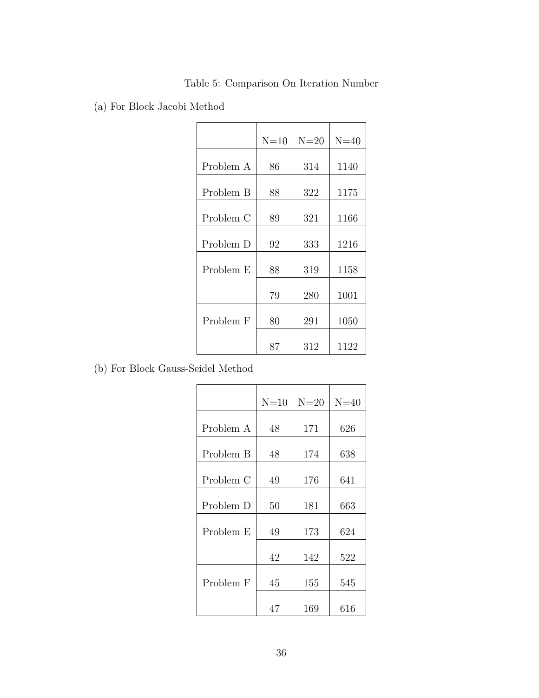|  |  | Table 5: Comparison On Iteration Number |  |
|--|--|-----------------------------------------|--|
|--|--|-----------------------------------------|--|

(a) For Block Jacobi Method

|           | $N=10$ | $N=20$ | $N=40$ |
|-----------|--------|--------|--------|
| Problem A | 86     | 314    | 1140   |
| Problem B | 88     | 322    | 1175   |
| Problem C | 89     | 321    | 1166   |
| Problem D | 92     | 333    | 1216   |
| Problem E | 88     | 319    | 1158   |
|           | 79     | 280    | 1001   |
| Problem F | 80     | 291    | 1050   |
|           | 87     | 312    | 1122   |

(b) For Block Gauss-Seidel Method

|           | $N=10$ | $N=20$ | $N=40$ |
|-----------|--------|--------|--------|
| Problem A | 48     | 171    | 626    |
| Problem B | 48     | 174    | 638    |
| Problem C | 49     | 176    | 641    |
| Problem D | 50     | 181    | 663    |
| Problem E | 49     | 173    | 624    |
|           | 42     | 142    | 522    |
| Problem F | 45     | 155    | 545    |
|           | 47     | 169    | 616    |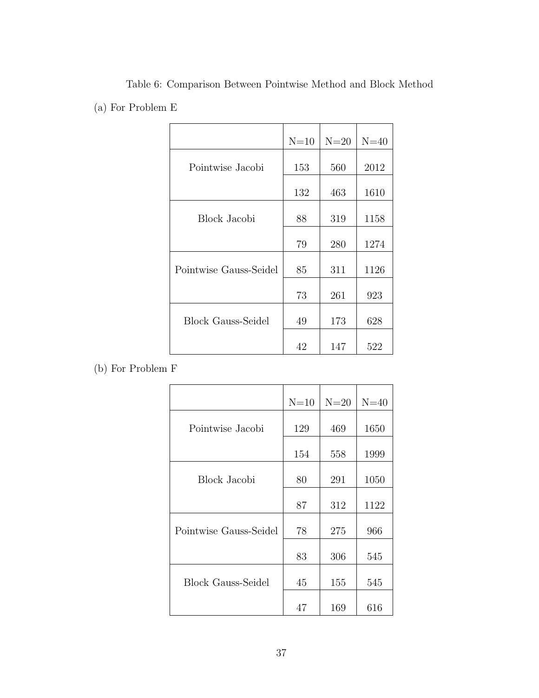|                           | $N=10$ | $N=20$ | $N=40$ |
|---------------------------|--------|--------|--------|
| Pointwise Jacobi          | 153    | 560    | 2012   |
|                           | 132    | 463    | 1610   |
| Block Jacobi              | 88     | 319    | 1158   |
|                           | 79     | 280    | 1274   |
| Pointwise Gauss-Seidel    | 85     | 311    | 1126   |
|                           | 73     | 261    | 923    |
| <b>Block Gauss-Seidel</b> | 49     | 173    | 628    |
|                           | 42     | 147    | 522    |

Table 6: Comparison Between Pointwise Method and Block Method (a) For Problem E

(b) For Problem F

|                           | $N=10$ | $N=20$ | $N=40$ |
|---------------------------|--------|--------|--------|
| Pointwise Jacobi          | 129    | 469    | 1650   |
|                           | 154    | 558    | 1999   |
| Block Jacobi              | 80     | 291    | 1050   |
|                           | 87     | 312    | 1122   |
| Pointwise Gauss-Seidel    | 78     | 275    | 966    |
|                           | 83     | 306    | 545    |
| <b>Block Gauss-Seidel</b> | 45     | 155    | 545    |
|                           | 47     | 169    | 616    |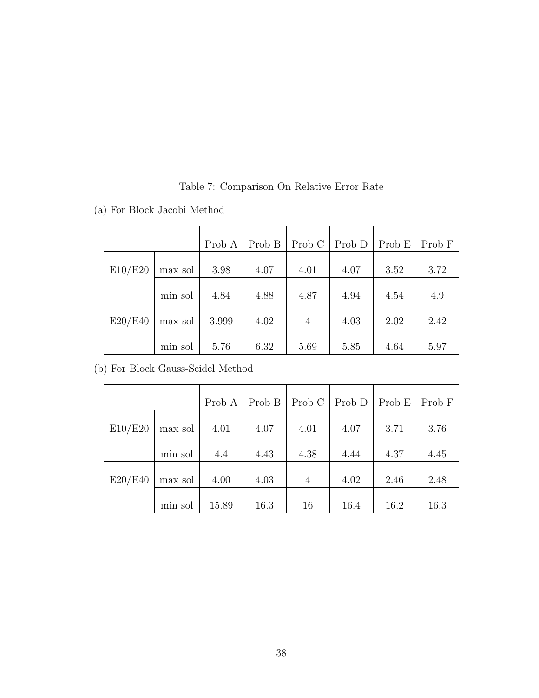|         |         | Prob A | Prob B | Prob C         | Prob D | Prob E | Prob F |
|---------|---------|--------|--------|----------------|--------|--------|--------|
| E10/E20 | max sol | 3.98   | 4.07   | 4.01           | 4.07   | 3.52   | 3.72   |
|         | min sol | 4.84   | 4.88   | 4.87           | 4.94   | 4.54   | 4.9    |
| E20/E40 | max sol | 3.999  | 4.02   | $\overline{4}$ | 4.03   | 2.02   | 2.42   |
|         | min sol | 5.76   | 6.32   | 5.69           | 5.85   | 4.64   | 5.97   |

Table 7: Comparison On Relative Error Rate

|  | (b) For Block Gauss-Seidel Method |  |  |
|--|-----------------------------------|--|--|

(a) For Block Jacobi Method

|         |         | Prob A | Prob B | Prob C         | Prob D | Prob E | Prob F |
|---------|---------|--------|--------|----------------|--------|--------|--------|
| E10/E20 | max sol | 4.01   | 4.07   | 4.01           | 4.07   | 3.71   | 3.76   |
|         | min sol | 4.4    | 4.43   | 4.38           | 4.44   | 4.37   | 4.45   |
| E20/E40 | max sol | 4.00   | 4.03   | $\overline{4}$ | 4.02   | 2.46   | 2.48   |
|         | min sol | 15.89  | 16.3   | 16             | 16.4   | 16.2   | 16.3   |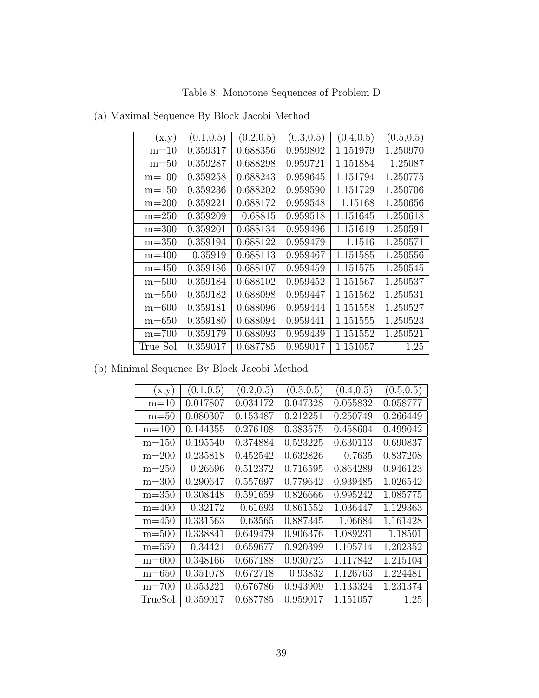Table 8: Monotone Sequences of Problem D

| (x,y)     | (0.1, 0.5) | (0.2, 0.5) | (0.3, 0.5) | (0.4, 0.5) | (0.5, 0.5) |
|-----------|------------|------------|------------|------------|------------|
| $m=10$    | 0.359317   | 0.688356   | 0.959802   | 1.151979   | 1.250970   |
| $m=50$    | 0.359287   | 0.688298   | 0.959721   | 1.151884   | 1.25087    |
| $m=100$   | 0.359258   | 0.688243   | 0.959645   | 1.151794   | 1.250775   |
| $m=150$   | 0.359236   | 0.688202   | 0.959590   | 1.151729   | 1.250706   |
| $m=200$   | 0.359221   | 0.688172   | 0.959548   | 1.15168    | 1.250656   |
| $m=250$   | 0.359209   | 0.68815    | 0.959518   | 1.151645   | 1.250618   |
| $m = 300$ | 0.359201   | 0.688134   | 0.959496   | 1.151619   | 1.250591   |
| $m = 350$ | 0.359194   | 0.688122   | 0.959479   | 1.1516     | 1.250571   |
| $m=400$   | 0.35919    | 0.688113   | 0.959467   | 1.151585   | 1.250556   |
| $m = 450$ | 0.359186   | 0.688107   | 0.959459   | 1.151575   | 1.250545   |
| $m = 500$ | 0.359184   | 0.688102   | 0.959452   | 1.151567   | 1.250537   |
| $m = 550$ | 0.359182   | 0.688098   | 0.959447   | 1.151562   | 1.250531   |
| $m = 600$ | 0.359181   | 0.688096   | 0.959444   | 1.151558   | 1.250527   |
| $m = 650$ | 0.359180   | 0.688094   | 0.959441   | 1.151555   | 1.250523   |
| $m=700$   | 0.359179   | 0.688093   | 0.959439   | 1.151552   | 1.250521   |
| True Sol  | 0.359017   | 0.687785   | 0.959017   | 1.151057   | 1.25       |

(a) Maximal Sequence By Block Jacobi Method

(b) Minimal Sequence By Block Jacobi Method

| (x,y)     | (0.1, 0.5) | (0.2, 0.5) | (0.3, 0.5) | (0.4, 0.5) | (0.5, 0.5) |
|-----------|------------|------------|------------|------------|------------|
| $m=10$    | 0.017807   | 0.034172   | 0.047328   | 0.055832   | 0.058777   |
| $m = 50$  | 0.080307   | 0.153487   | 0.212251   | 0.250749   | 0.266449   |
| $m=100$   | 0.144355   | 0.276108   | 0.383575   | 0.458604   | 0.499042   |
| $m=150$   | 0.195540   | 0.374884   | 0.523225   | 0.630113   | 0.690837   |
| $m=200$   | 0.235818   | 0.452542   | 0.632826   | 0.7635     | 0.837208   |
| $m=250$   | 0.26696    | 0.512372   | 0.716595   | 0.864289   | 0.946123   |
| $m = 300$ | 0.290647   | 0.557697   | 0.779642   | 0.939485   | 1.026542   |
| $m = 350$ | 0.308448   | 0.591659   | 0.826666   | 0.995242   | 1.085775   |
| $m = 400$ | 0.32172    | 0.61693    | 0.861552   | 1.036447   | 1.129363   |
| $m = 450$ | 0.331563   | 0.63565    | 0.887345   | 1.06684    | 1.161428   |
| $m = 500$ | 0.338841   | 0.649479   | 0.906376   | 1.089231   | 1.18501    |
| $m = 550$ | 0.34421    | 0.659677   | 0.920399   | 1.105714   | 1.202352   |
| $m = 600$ | 0.348166   | 0.667188   | 0.930723   | 1.117842   | 1.215104   |
| $m = 650$ | 0.351078   | 0.672718   | 0.93832    | 1.126763   | 1.224481   |
| $m = 700$ | 0.353221   | 0.676786   | 0.943909   | 1.133324   | 1.231374   |
| TrueSol   | 0.359017   | 0.687785   | 0.959017   | 1.151057   | 1.25       |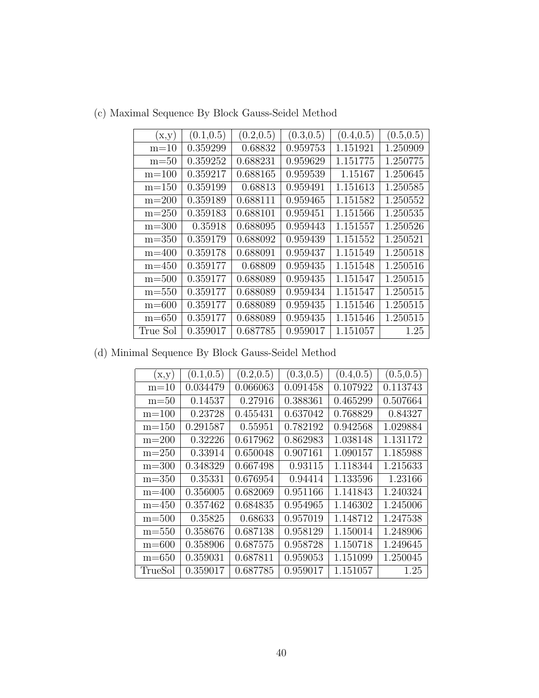| (x,y)     | (0.1, 0.5) | (0.2, 0.5) | (0.3, 0.5) | (0.4, 0.5) | (0.5, 0.5) |
|-----------|------------|------------|------------|------------|------------|
| $m=10$    | 0.359299   | 0.68832    | 0.959753   | 1.151921   | 1.250909   |
| $m = 50$  | 0.359252   | 0.688231   | 0.959629   | 1.151775   | 1.250775   |
| $m=100$   | 0.359217   | 0.688165   | 0.959539   | 1.15167    | 1.250645   |
| $m=150$   | 0.359199   | 0.68813    | 0.959491   | 1.151613   | 1.250585   |
| $m=200$   | 0.359189   | 0.688111   | 0.959465   | 1.151582   | 1.250552   |
| $m=250$   | 0.359183   | 0.688101   | 0.959451   | 1.151566   | 1.250535   |
| $m = 300$ | 0.35918    | 0.688095   | 0.959443   | 1.151557   | 1.250526   |
| $m = 350$ | 0.359179   | 0.688092   | 0.959439   | 1.151552   | 1.250521   |
| $m = 400$ | 0.359178   | 0.688091   | 0.959437   | 1.151549   | 1.250518   |
| $m = 450$ | 0.359177   | 0.68809    | 0.959435   | 1.151548   | 1.250516   |
| $m = 500$ | 0.359177   | 0.688089   | 0.959435   | 1.151547   | 1.250515   |
| $m = 550$ | 0.359177   | 0.688089   | 0.959434   | 1.151547   | 1.250515   |
| $m = 600$ | 0.359177   | 0.688089   | 0.959435   | 1.151546   | 1.250515   |
| $m = 650$ | 0.359177   | 0.688089   | 0.959435   | 1.151546   | 1.250515   |
| True Sol  | 0.359017   | 0.687785   | 0.959017   | 1.151057   | 1.25       |

(c) Maximal Sequence By Block Gauss-Seidel Method

(d) Minimal Sequence By Block Gauss-Seidel Method

| (x,y)     | (0.1, 0.5) | (0.2, 0.5) | (0.3, 0.5) | (0.4, 0.5) | (0.5, 0.5) |
|-----------|------------|------------|------------|------------|------------|
| $m=10$    | 0.034479   | 0.066063   | 0.091458   | 0.107922   | 0.113743   |
| $m = 50$  | 0.14537    | 0.27916    | 0.388361   | 0.465299   | 0.507664   |
| $m = 100$ | 0.23728    | 0.455431   | 0.637042   | 0.768829   | 0.84327    |
| $m = 150$ | 0.291587   | 0.55951    | 0.782192   | 0.942568   | 1.029884   |
| $m=200$   | 0.32226    | 0.617962   | 0.862983   | 1.038148   | 1.131172   |
| $m = 250$ | 0.33914    | 0.650048   | 0.907161   | 1.090157   | 1.185988   |
| $m = 300$ | 0.348329   | 0.667498   | 0.93115    | 1.118344   | 1.215633   |
| $m = 350$ | 0.35331    | 0.676954   | 0.94414    | 1.133596   | 1.23166    |
| $m = 400$ | 0.356005   | 0.682069   | 0.951166   | 1.141843   | 1.240324   |
| $m = 450$ | 0.357462   | 0.684835   | 0.954965   | 1.146302   | 1.245006   |
| $m = 500$ | 0.35825    | 0.68633    | 0.957019   | 1.148712   | 1.247538   |
| $m = 550$ | 0.358676   | 0.687138   | 0.958129   | 1.150014   | 1.248906   |
| $m = 600$ | 0.358906   | 0.687575   | 0.958728   | 1.150718   | 1.249645   |
| $m = 650$ | 0.359031   | 0.687811   | 0.959053   | 1.151099   | 1.250045   |
| TrueSol   | 0.359017   | 0.687785   | 0.959017   | 1.151057   | 1.25       |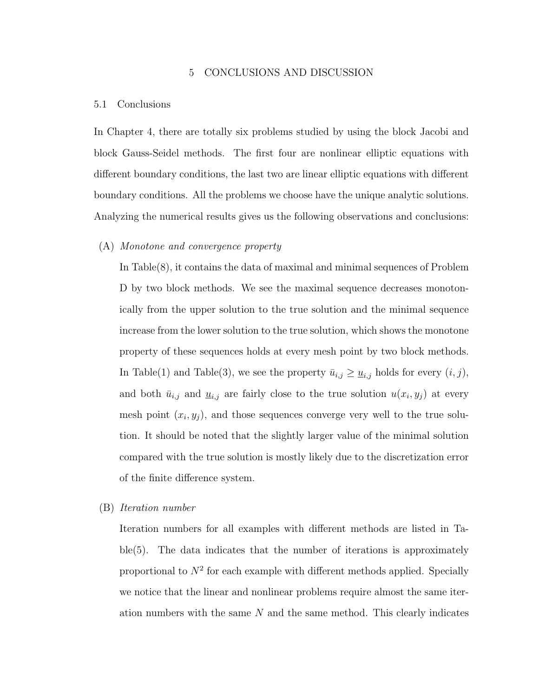# 5 CONCLUSIONS AND DISCUSSION

#### 5.1 Conclusions

In Chapter 4, there are totally six problems studied by using the block Jacobi and block Gauss-Seidel methods. The first four are nonlinear elliptic equations with different boundary conditions, the last two are linear elliptic equations with different boundary conditions. All the problems we choose have the unique analytic solutions. Analyzing the numerical results gives us the following observations and conclusions:

#### (A) Monotone and convergence property

In Table(8), it contains the data of maximal and minimal sequences of Problem D by two block methods. We see the maximal sequence decreases monotonically from the upper solution to the true solution and the minimal sequence increase from the lower solution to the true solution, which shows the monotone property of these sequences holds at every mesh point by two block methods. In Table(1) and Table(3), we see the property  $\bar{u}_{i,j} \geq \underline{u}_{i,j}$  holds for every  $(i, j)$ , and both  $\bar{u}_{i,j}$  and  $\underline{u}_{i,j}$  are fairly close to the true solution  $u(x_i, y_j)$  at every mesh point  $(x_i, y_j)$ , and those sequences converge very well to the true solution. It should be noted that the slightly larger value of the minimal solution compared with the true solution is mostly likely due to the discretization error of the finite difference system.

### (B) Iteration number

Iteration numbers for all examples with different methods are listed in Table(5). The data indicates that the number of iterations is approximately proportional to  $N^2$  for each example with different methods applied. Specially we notice that the linear and nonlinear problems require almost the same iteration numbers with the same  $N$  and the same method. This clearly indicates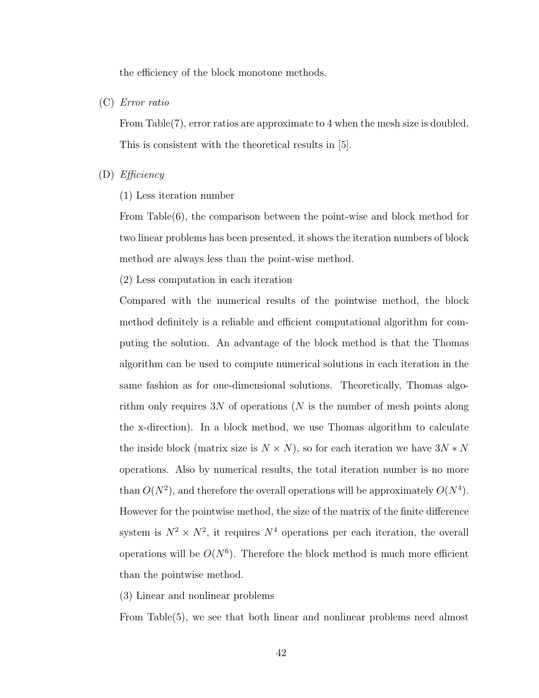the efficiency of the block monotone methods.

(C) Error ratio

From Table(7), error ratios are approximate to 4 when the mesh size is doubled. This is consistent with the theoretical results in [5].

- (D) Efficiency
	- (1) Less iteration number

From Table(6), the comparison between the point-wise and block method for two linear problems has been presented, it shows the iteration numbers of block method are always less than the point-wise method.

(2) Less computation in each iteration

Compared with the numerical results of the pointwise method, the block method definitely is a reliable and efficient computational algorithm for computing the solution. An advantage of the block method is that the Thomas algorithm can be used to compute numerical solutions in each iteration in the same fashion as for one-dimensional solutions. Theoretically, Thomas algorithm only requires  $3N$  of operations (N is the number of mesh points along the x-direction). In a block method, we use Thomas algorithm to calculate the inside block (matrix size is  $N\times N),$  so for each iteration we have  $3N*N$ operations. Also by numerical results, the total iteration number is no more than  $O(N^2)$ , and therefore the overall operations will be approximately  $O(N^4)$ . However for the pointwise method, the size of the matrix of the finite difference system is  $N^2 \times N^2$ , it requires  $N^4$  operations per each iteration, the overall operations will be  $O(N^6)$ . Therefore the block method is much more efficient than the pointwise method.

(3) Linear and nonlinear problems

From Table(5), we see that both linear and nonlinear problems need almost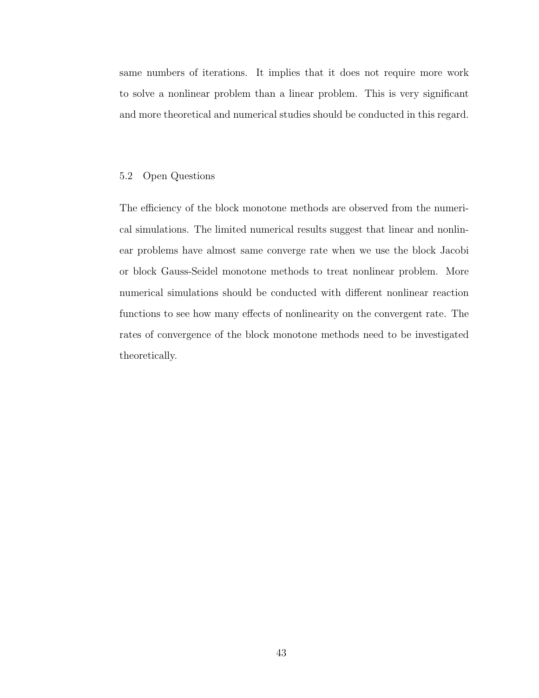same numbers of iterations. It implies that it does not require more work to solve a nonlinear problem than a linear problem. This is very significant and more theoretical and numerical studies should be conducted in this regard.

#### 5.2 Open Questions

The efficiency of the block monotone methods are observed from the numerical simulations. The limited numerical results suggest that linear and nonlinear problems have almost same converge rate when we use the block Jacobi or block Gauss-Seidel monotone methods to treat nonlinear problem. More numerical simulations should be conducted with different nonlinear reaction functions to see how many effects of nonlinearity on the convergent rate. The rates of convergence of the block monotone methods need to be investigated theoretically.